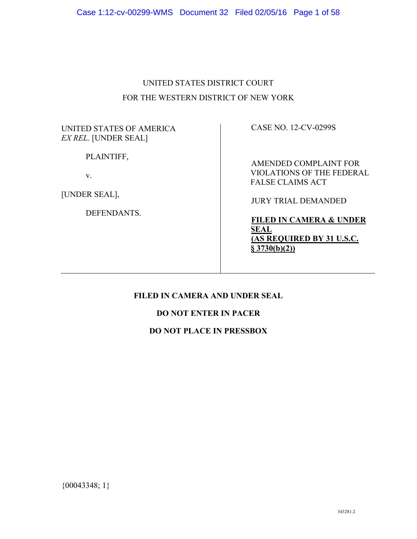# UNITED STATES DISTRICT COURT FOR THE WESTERN DISTRICT OF NEW YORK

### UNITED STATES OF AMERICA *EX REL*. [UNDER SEAL]

PLAINTIFF,

v.

[UNDER SEAL],

DEFENDANTS.

CASE NO. 12-CV-0299S

AMENDED COMPLAINT FOR VIOLATIONS OF THE FEDERAL FALSE CLAIMS ACT

JURY TRIAL DEMANDED

**FILED IN CAMERA & UNDER SEAL (AS REQUIRED BY 31 U.S.C. § 3730(b)(2))**

# **FILED IN CAMERA AND UNDER SEAL**

# **DO NOT ENTER IN PACER**

# **DO NOT PLACE IN PRESSBOX**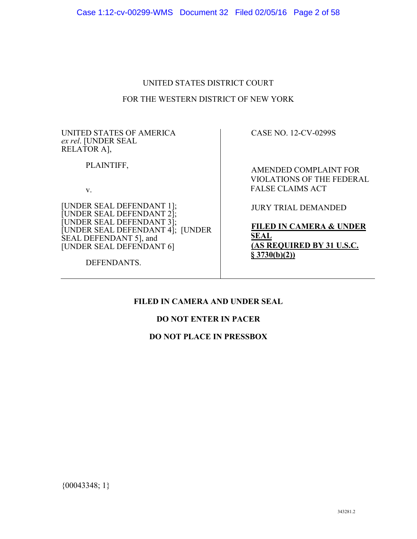### UNITED STATES DISTRICT COURT

### FOR THE WESTERN DISTRICT OF NEW YORK

UNITED STATES OF AMERICA *ex rel*. [UNDER SEAL RELATOR A],

PLAINTIFF,

v.

[UNDER SEAL DEFENDANT 1]; [UNDER SEAL DEFENDANT 2]; [UNDER SEAL DEFENDANT 3]; [UNDER SEAL DEFENDANT 4]; [UNDER SEAL DEFENDANT 5], and [UNDER SEAL DEFENDANT 6]

DEFENDANTS.

CASE NO. 12-CV-0299S

AMENDED COMPLAINT FOR VIOLATIONS OF THE FEDERAL FALSE CLAIMS ACT

JURY TRIAL DEMANDED

**FILED IN CAMERA & UNDER SEAL (AS REQUIRED BY 31 U.S.C. § 3730(b)(2))**

# **FILED IN CAMERA AND UNDER SEAL**

### **DO NOT ENTER IN PACER**

### **DO NOT PLACE IN PRESSBOX**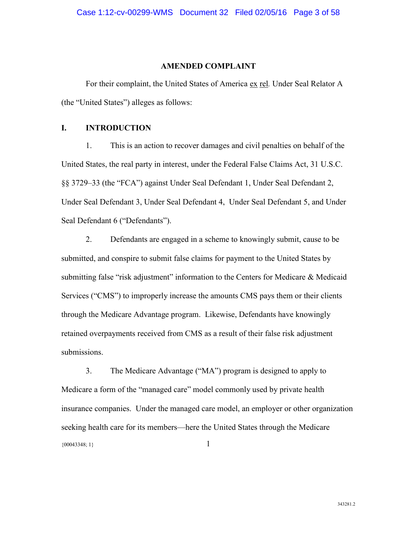#### **AMENDED COMPLAINT**

For their complaint, the United States of America ex rel*.* Under Seal Relator A (the "United States") alleges as follows:

### **I. INTRODUCTION**

1. This is an action to recover damages and civil penalties on behalf of the United States, the real party in interest, under the Federal False Claims Act, 31 U.S.C. §§ 3729–33 (the "FCA") against Under Seal Defendant 1, Under Seal Defendant 2, Under Seal Defendant 3, Under Seal Defendant 4, Under Seal Defendant 5, and Under Seal Defendant 6 ("Defendants").

2. Defendants are engaged in a scheme to knowingly submit, cause to be submitted, and conspire to submit false claims for payment to the United States by submitting false "risk adjustment" information to the Centers for Medicare & Medicaid Services ("CMS") to improperly increase the amounts CMS pays them or their clients through the Medicare Advantage program. Likewise, Defendants have knowingly retained overpayments received from CMS as a result of their false risk adjustment submissions.

 ${00043348; 1}$  1 3. The Medicare Advantage ("MA") program is designed to apply to Medicare a form of the "managed care" model commonly used by private health insurance companies. Under the managed care model, an employer or other organization seeking health care for its members—here the United States through the Medicare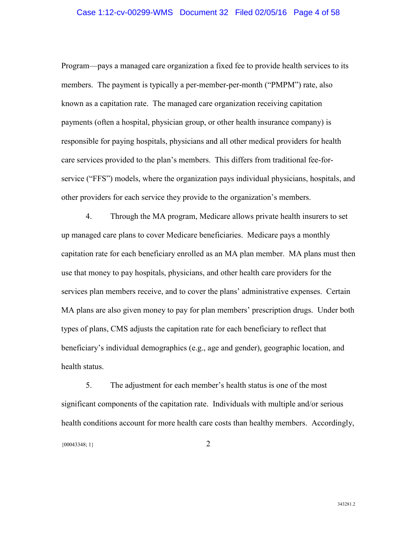### Case 1:12-cv-00299-WMS Document 32 Filed 02/05/16 Page 4 of 58

Program—pays a managed care organization a fixed fee to provide health services to its members. The payment is typically a per-member-per-month ("PMPM") rate, also known as a capitation rate. The managed care organization receiving capitation payments (often a hospital, physician group, or other health insurance company) is responsible for paying hospitals, physicians and all other medical providers for health care services provided to the plan's members. This differs from traditional fee-forservice ("FFS") models, where the organization pays individual physicians, hospitals, and other providers for each service they provide to the organization's members.

4. Through the MA program, Medicare allows private health insurers to set up managed care plans to cover Medicare beneficiaries. Medicare pays a monthly capitation rate for each beneficiary enrolled as an MA plan member. MA plans must then use that money to pay hospitals, physicians, and other health care providers for the services plan members receive, and to cover the plans' administrative expenses. Certain MA plans are also given money to pay for plan members' prescription drugs. Under both types of plans, CMS adjusts the capitation rate for each beneficiary to reflect that beneficiary's individual demographics (e.g., age and gender), geographic location, and health status.

 ${00043348; 1}$  2 5. The adjustment for each member's health status is one of the most significant components of the capitation rate. Individuals with multiple and/or serious health conditions account for more health care costs than healthy members. Accordingly,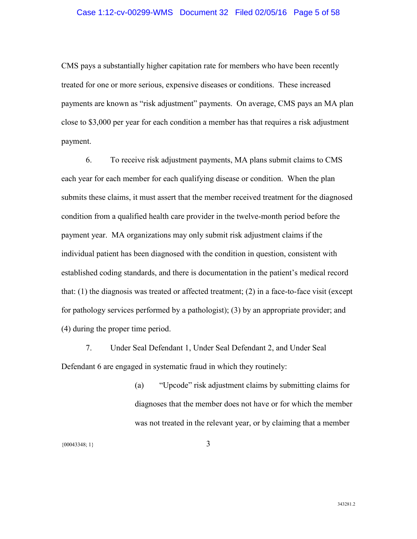### Case 1:12-cv-00299-WMS Document 32 Filed 02/05/16 Page 5 of 58

CMS pays a substantially higher capitation rate for members who have been recently treated for one or more serious, expensive diseases or conditions. These increased payments are known as "risk adjustment" payments. On average, CMS pays an MA plan close to \$3,000 per year for each condition a member has that requires a risk adjustment payment.

6. To receive risk adjustment payments, MA plans submit claims to CMS each year for each member for each qualifying disease or condition. When the plan submits these claims, it must assert that the member received treatment for the diagnosed condition from a qualified health care provider in the twelve-month period before the payment year. MA organizations may only submit risk adjustment claims if the individual patient has been diagnosed with the condition in question, consistent with established coding standards, and there is documentation in the patient's medical record that: (1) the diagnosis was treated or affected treatment; (2) in a face-to-face visit (except for pathology services performed by a pathologist); (3) by an appropriate provider; and (4) during the proper time period.

7. Under Seal Defendant 1, Under Seal Defendant 2, and Under Seal Defendant 6 are engaged in systematic fraud in which they routinely:

> (a) "Upcode" risk adjustment claims by submitting claims for diagnoses that the member does not have or for which the member was not treated in the relevant year, or by claiming that a member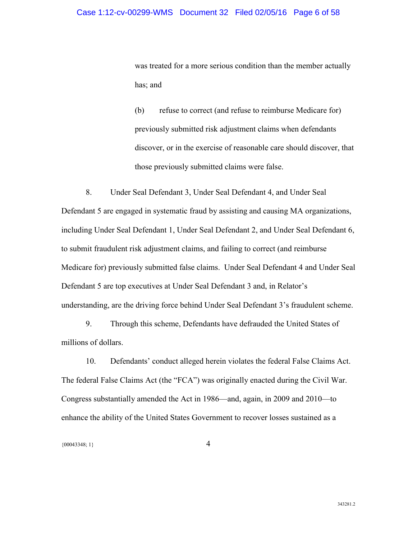was treated for a more serious condition than the member actually has; and

(b) refuse to correct (and refuse to reimburse Medicare for) previously submitted risk adjustment claims when defendants discover, or in the exercise of reasonable care should discover, that those previously submitted claims were false.

8. Under Seal Defendant 3, Under Seal Defendant 4, and Under Seal Defendant 5 are engaged in systematic fraud by assisting and causing MA organizations, including Under Seal Defendant 1, Under Seal Defendant 2, and Under Seal Defendant 6, to submit fraudulent risk adjustment claims, and failing to correct (and reimburse Medicare for) previously submitted false claims. Under Seal Defendant 4 and Under Seal Defendant 5 are top executives at Under Seal Defendant 3 and, in Relator's understanding, are the driving force behind Under Seal Defendant 3's fraudulent scheme.

9. Through this scheme, Defendants have defrauded the United States of millions of dollars.

10. Defendants' conduct alleged herein violates the federal False Claims Act. The federal False Claims Act (the "FCA") was originally enacted during the Civil War. Congress substantially amended the Act in 1986—and, again, in 2009 and 2010—to enhance the ability of the United States Government to recover losses sustained as a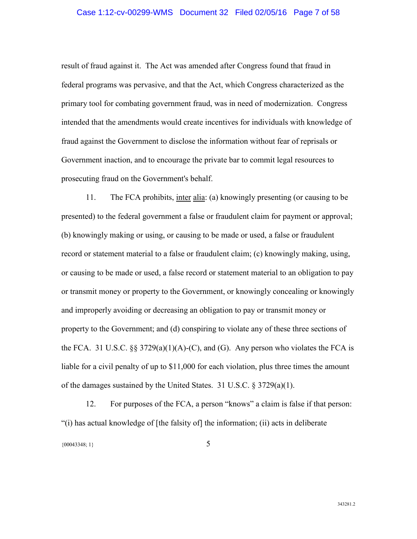### Case 1:12-cv-00299-WMS Document 32 Filed 02/05/16 Page 7 of 58

result of fraud against it. The Act was amended after Congress found that fraud in federal programs was pervasive, and that the Act, which Congress characterized as the primary tool for combating government fraud, was in need of modernization. Congress intended that the amendments would create incentives for individuals with knowledge of fraud against the Government to disclose the information without fear of reprisals or Government inaction, and to encourage the private bar to commit legal resources to prosecuting fraud on the Government's behalf.

11. The FCA prohibits, inter alia: (a) knowingly presenting (or causing to be presented) to the federal government a false or fraudulent claim for payment or approval; (b) knowingly making or using, or causing to be made or used, a false or fraudulent record or statement material to a false or fraudulent claim; (c) knowingly making, using, or causing to be made or used, a false record or statement material to an obligation to pay or transmit money or property to the Government, or knowingly concealing or knowingly and improperly avoiding or decreasing an obligation to pay or transmit money or property to the Government; and (d) conspiring to violate any of these three sections of the FCA. 31 U.S.C.  $\S$ § 3729(a)(1)(A)-(C), and (G). Any person who violates the FCA is liable for a civil penalty of up to \$11,000 for each violation, plus three times the amount of the damages sustained by the United States. 31 U.S.C. § 3729(a)(1).

12. For purposes of the FCA, a person "knows" a claim is false if that person: "(i) has actual knowledge of [the falsity of] the information; (ii) acts in deliberate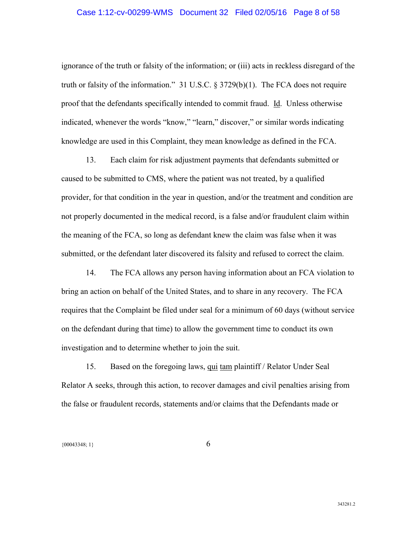### Case 1:12-cv-00299-WMS Document 32 Filed 02/05/16 Page 8 of 58

ignorance of the truth or falsity of the information; or (iii) acts in reckless disregard of the truth or falsity of the information." 31 U.S.C. § 3729(b)(1). The FCA does not require proof that the defendants specifically intended to commit fraud. Id. Unless otherwise indicated, whenever the words "know," "learn," discover," or similar words indicating knowledge are used in this Complaint, they mean knowledge as defined in the FCA.

13. Each claim for risk adjustment payments that defendants submitted or caused to be submitted to CMS, where the patient was not treated, by a qualified provider, for that condition in the year in question, and/or the treatment and condition are not properly documented in the medical record, is a false and/or fraudulent claim within the meaning of the FCA, so long as defendant knew the claim was false when it was submitted, or the defendant later discovered its falsity and refused to correct the claim.

14. The FCA allows any person having information about an FCA violation to bring an action on behalf of the United States, and to share in any recovery. The FCA requires that the Complaint be filed under seal for a minimum of 60 days (without service on the defendant during that time) to allow the government time to conduct its own investigation and to determine whether to join the suit.

15. Based on the foregoing laws, qui tam plaintiff / Relator Under Seal Relator A seeks, through this action, to recover damages and civil penalties arising from the false or fraudulent records, statements and/or claims that the Defendants made or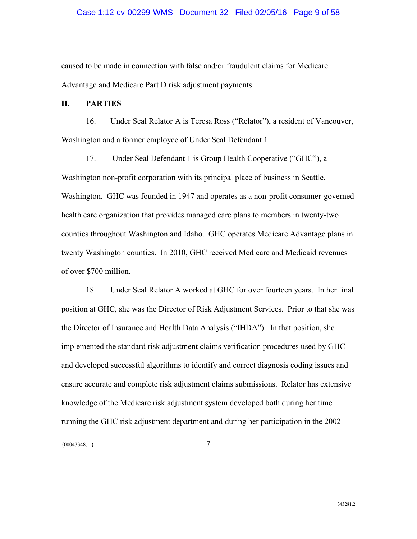### Case 1:12-cv-00299-WMS Document 32 Filed 02/05/16 Page 9 of 58

caused to be made in connection with false and/or fraudulent claims for Medicare Advantage and Medicare Part D risk adjustment payments.

### **II. PARTIES**

16. Under Seal Relator A is Teresa Ross ("Relator"), a resident of Vancouver, Washington and a former employee of Under Seal Defendant 1.

17. Under Seal Defendant 1 is Group Health Cooperative ("GHC"), a Washington non-profit corporation with its principal place of business in Seattle, Washington. GHC was founded in 1947 and operates as a non-profit consumer-governed health care organization that provides managed care plans to members in twenty-two counties throughout Washington and Idaho. GHC operates Medicare Advantage plans in twenty Washington counties. In 2010, GHC received Medicare and Medicaid revenues of over \$700 million.

18. Under Seal Relator A worked at GHC for over fourteen years. In her final position at GHC, she was the Director of Risk Adjustment Services. Prior to that she was the Director of Insurance and Health Data Analysis ("IHDA"). In that position, she implemented the standard risk adjustment claims verification procedures used by GHC and developed successful algorithms to identify and correct diagnosis coding issues and ensure accurate and complete risk adjustment claims submissions. Relator has extensive knowledge of the Medicare risk adjustment system developed both during her time running the GHC risk adjustment department and during her participation in the 2002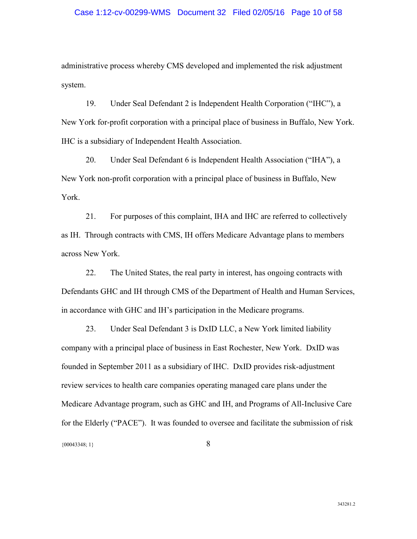### Case 1:12-cv-00299-WMS Document 32 Filed 02/05/16 Page 10 of 58

administrative process whereby CMS developed and implemented the risk adjustment system.

19. Under Seal Defendant 2 is Independent Health Corporation ("IHC"), a New York for-profit corporation with a principal place of business in Buffalo, New York. IHC is a subsidiary of Independent Health Association.

20. Under Seal Defendant 6 is Independent Health Association ("IHA"), a New York non-profit corporation with a principal place of business in Buffalo, New York.

21. For purposes of this complaint, IHA and IHC are referred to collectively as IH. Through contracts with CMS, IH offers Medicare Advantage plans to members across New York.

22. The United States, the real party in interest, has ongoing contracts with Defendants GHC and IH through CMS of the Department of Health and Human Services, in accordance with GHC and IH's participation in the Medicare programs.

 ${00043348; 1}$  8 23. Under Seal Defendant 3 is DxID LLC, a New York limited liability company with a principal place of business in East Rochester, New York. DxID was founded in September 2011 as a subsidiary of IHC. DxID provides risk-adjustment review services to health care companies operating managed care plans under the Medicare Advantage program, such as GHC and IH, and Programs of All-Inclusive Care for the Elderly ("PACE"). It was founded to oversee and facilitate the submission of risk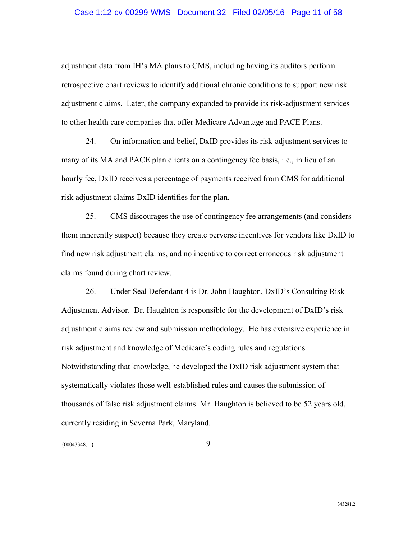### Case 1:12-cv-00299-WMS Document 32 Filed 02/05/16 Page 11 of 58

adjustment data from IH's MA plans to CMS, including having its auditors perform retrospective chart reviews to identify additional chronic conditions to support new risk adjustment claims. Later, the company expanded to provide its risk-adjustment services to other health care companies that offer Medicare Advantage and PACE Plans.

24. On information and belief, DxID provides its risk-adjustment services to many of its MA and PACE plan clients on a contingency fee basis, i.e., in lieu of an hourly fee, DxID receives a percentage of payments received from CMS for additional risk adjustment claims DxID identifies for the plan.

25. CMS discourages the use of contingency fee arrangements (and considers them inherently suspect) because they create perverse incentives for vendors like DxID to find new risk adjustment claims, and no incentive to correct erroneous risk adjustment claims found during chart review.

26. Under Seal Defendant 4 is Dr. John Haughton, DxID's Consulting Risk Adjustment Advisor. Dr. Haughton is responsible for the development of DxID's risk adjustment claims review and submission methodology. He has extensive experience in risk adjustment and knowledge of Medicare's coding rules and regulations. Notwithstanding that knowledge, he developed the DxID risk adjustment system that systematically violates those well-established rules and causes the submission of thousands of false risk adjustment claims. Mr. Haughton is believed to be 52 years old, currently residing in Severna Park, Maryland.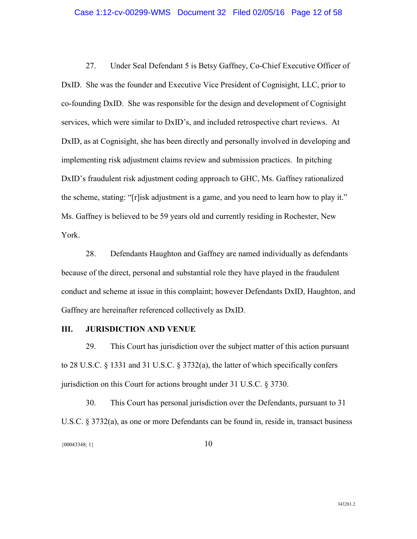27. Under Seal Defendant 5 is Betsy Gaffney, Co-Chief Executive Officer of DxID. She was the founder and Executive Vice President of Cognisight, LLC, prior to co-founding DxID. She was responsible for the design and development of Cognisight services, which were similar to DxID's, and included retrospective chart reviews. At DxID, as at Cognisight, she has been directly and personally involved in developing and implementing risk adjustment claims review and submission practices. In pitching DxID's fraudulent risk adjustment coding approach to GHC, Ms. Gaffney rationalized the scheme, stating: "[r]isk adjustment is a game, and you need to learn how to play it." Ms. Gaffney is believed to be 59 years old and currently residing in Rochester, New York.

28. Defendants Haughton and Gaffney are named individually as defendants because of the direct, personal and substantial role they have played in the fraudulent conduct and scheme at issue in this complaint; however Defendants DxID, Haughton, and Gaffney are hereinafter referenced collectively as DxID.

### **III. JURISDICTION AND VENUE**

29. This Court has jurisdiction over the subject matter of this action pursuant to 28 U.S.C. § 1331 and 31 U.S.C. § 3732(a), the latter of which specifically confers jurisdiction on this Court for actions brought under 31 U.S.C. § 3730.

30. This Court has personal jurisdiction over the Defendants, pursuant to 31 U.S.C. § 3732(a), as one or more Defendants can be found in, reside in, transact business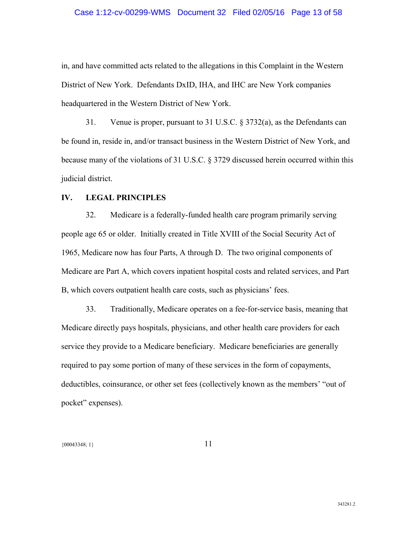### Case 1:12-cv-00299-WMS Document 32 Filed 02/05/16 Page 13 of 58

in, and have committed acts related to the allegations in this Complaint in the Western District of New York. Defendants DxID, IHA, and IHC are New York companies headquartered in the Western District of New York.

31. Venue is proper, pursuant to 31 U.S.C. § 3732(a), as the Defendants can be found in, reside in, and/or transact business in the Western District of New York, and because many of the violations of 31 U.S.C. § 3729 discussed herein occurred within this judicial district.

### **IV. LEGAL PRINCIPLES**

32. Medicare is a federally-funded health care program primarily serving people age 65 or older. Initially created in Title XVIII of the Social Security Act of 1965, Medicare now has four Parts, A through D. The two original components of Medicare are Part A, which covers inpatient hospital costs and related services, and Part B, which covers outpatient health care costs, such as physicians' fees.

33. Traditionally, Medicare operates on a fee-for-service basis, meaning that Medicare directly pays hospitals, physicians, and other health care providers for each service they provide to a Medicare beneficiary. Medicare beneficiaries are generally required to pay some portion of many of these services in the form of copayments, deductibles, coinsurance, or other set fees (collectively known as the members' "out of pocket" expenses).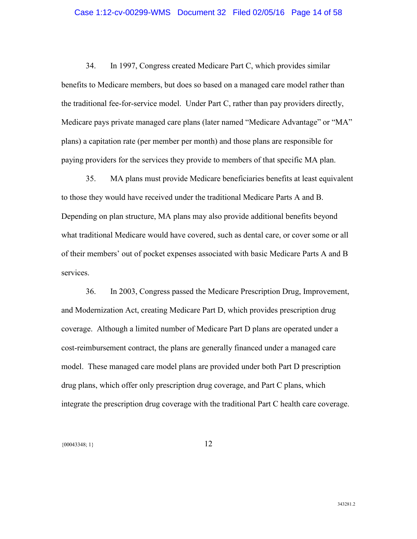### Case 1:12-cv-00299-WMS Document 32 Filed 02/05/16 Page 14 of 58

34. In 1997, Congress created Medicare Part C, which provides similar benefits to Medicare members, but does so based on a managed care model rather than the traditional fee-for-service model. Under Part C, rather than pay providers directly, Medicare pays private managed care plans (later named "Medicare Advantage" or "MA" plans) a capitation rate (per member per month) and those plans are responsible for paying providers for the services they provide to members of that specific MA plan.

35. MA plans must provide Medicare beneficiaries benefits at least equivalent to those they would have received under the traditional Medicare Parts A and B. Depending on plan structure, MA plans may also provide additional benefits beyond what traditional Medicare would have covered, such as dental care, or cover some or all of their members' out of pocket expenses associated with basic Medicare Parts A and B services.

36. In 2003, Congress passed the Medicare Prescription Drug, Improvement, and Modernization Act, creating Medicare Part D, which provides prescription drug coverage. Although a limited number of Medicare Part D plans are operated under a cost-reimbursement contract, the plans are generally financed under a managed care model. These managed care model plans are provided under both Part D prescription drug plans, which offer only prescription drug coverage, and Part C plans, which integrate the prescription drug coverage with the traditional Part C health care coverage.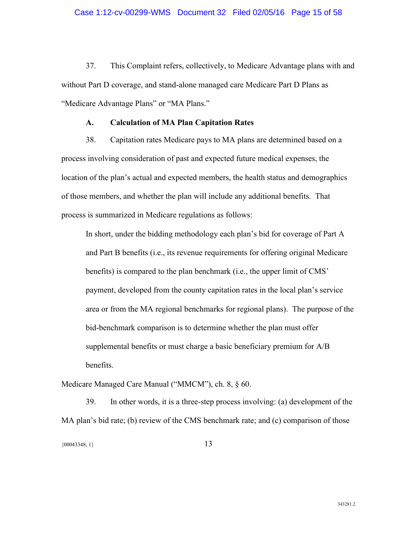37. This Complaint refers, collectively, to Medicare Advantage plans with and without Part D coverage, and stand-alone managed care Medicare Part D Plans as "Medicare Advantage Plans" or "MA Plans."

### **A. Calculation of MA Plan Capitation Rates**

38. Capitation rates Medicare pays to MA plans are determined based on a process involving consideration of past and expected future medical expenses, the location of the plan's actual and expected members, the health status and demographics of those members, and whether the plan will include any additional benefits. That process is summarized in Medicare regulations as follows:

In short, under the bidding methodology each plan's bid for coverage of Part A and Part B benefits (i.e., its revenue requirements for offering original Medicare benefits) is compared to the plan benchmark (i.e., the upper limit of CMS' payment, developed from the county capitation rates in the local plan's service area or from the MA regional benchmarks for regional plans). The purpose of the bid-benchmark comparison is to determine whether the plan must offer supplemental benefits or must charge a basic beneficiary premium for A/B benefits.

Medicare Managed Care Manual ("MMCM"), ch. 8, § 60.

39. In other words, it is a three-step process involving: (a) development of the MA plan's bid rate; (b) review of the CMS benchmark rate; and (c) comparison of those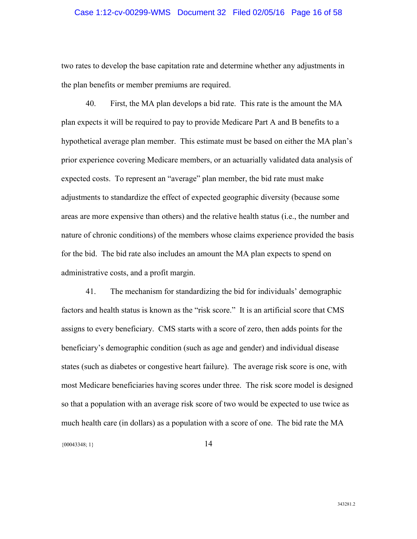### Case 1:12-cv-00299-WMS Document 32 Filed 02/05/16 Page 16 of 58

two rates to develop the base capitation rate and determine whether any adjustments in the plan benefits or member premiums are required.

40. First, the MA plan develops a bid rate. This rate is the amount the MA plan expects it will be required to pay to provide Medicare Part A and B benefits to a hypothetical average plan member. This estimate must be based on either the MA plan's prior experience covering Medicare members, or an actuarially validated data analysis of expected costs. To represent an "average" plan member, the bid rate must make adjustments to standardize the effect of expected geographic diversity (because some areas are more expensive than others) and the relative health status (i.e., the number and nature of chronic conditions) of the members whose claims experience provided the basis for the bid. The bid rate also includes an amount the MA plan expects to spend on administrative costs, and a profit margin.

41. The mechanism for standardizing the bid for individuals' demographic factors and health status is known as the "risk score." It is an artificial score that CMS assigns to every beneficiary. CMS starts with a score of zero, then adds points for the beneficiary's demographic condition (such as age and gender) and individual disease states (such as diabetes or congestive heart failure). The average risk score is one, with most Medicare beneficiaries having scores under three. The risk score model is designed so that a population with an average risk score of two would be expected to use twice as much health care (in dollars) as a population with a score of one. The bid rate the MA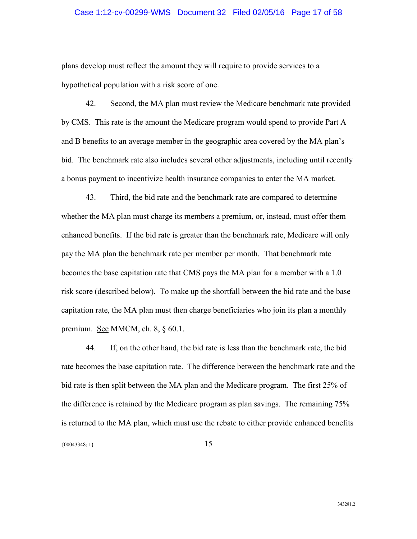### Case 1:12-cv-00299-WMS Document 32 Filed 02/05/16 Page 17 of 58

plans develop must reflect the amount they will require to provide services to a hypothetical population with a risk score of one.

42. Second, the MA plan must review the Medicare benchmark rate provided by CMS. This rate is the amount the Medicare program would spend to provide Part A and B benefits to an average member in the geographic area covered by the MA plan's bid. The benchmark rate also includes several other adjustments, including until recently a bonus payment to incentivize health insurance companies to enter the MA market.

43. Third, the bid rate and the benchmark rate are compared to determine whether the MA plan must charge its members a premium, or, instead, must offer them enhanced benefits. If the bid rate is greater than the benchmark rate, Medicare will only pay the MA plan the benchmark rate per member per month. That benchmark rate becomes the base capitation rate that CMS pays the MA plan for a member with a 1.0 risk score (described below). To make up the shortfall between the bid rate and the base capitation rate, the MA plan must then charge beneficiaries who join its plan a monthly premium. <u>See</u> MMCM, ch. 8, § 60.1.

44. If, on the other hand, the bid rate is less than the benchmark rate, the bid rate becomes the base capitation rate. The difference between the benchmark rate and the bid rate is then split between the MA plan and the Medicare program. The first 25% of the difference is retained by the Medicare program as plan savings. The remaining 75% is returned to the MA plan, which must use the rebate to either provide enhanced benefits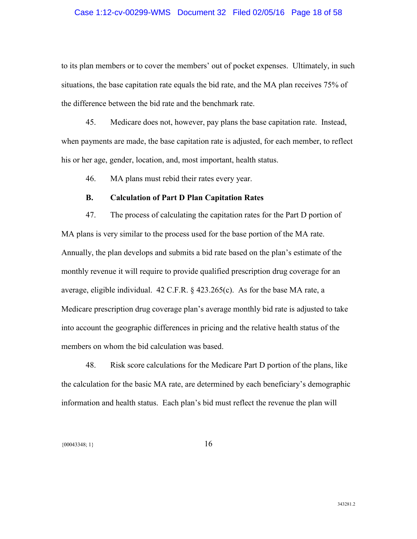### Case 1:12-cv-00299-WMS Document 32 Filed 02/05/16 Page 18 of 58

to its plan members or to cover the members' out of pocket expenses. Ultimately, in such situations, the base capitation rate equals the bid rate, and the MA plan receives 75% of the difference between the bid rate and the benchmark rate.

45. Medicare does not, however, pay plans the base capitation rate. Instead, when payments are made, the base capitation rate is adjusted, for each member, to reflect his or her age, gender, location, and, most important, health status.

46. MA plans must rebid their rates every year.

### **B. Calculation of Part D Plan Capitation Rates**

47. The process of calculating the capitation rates for the Part D portion of MA plans is very similar to the process used for the base portion of the MA rate. Annually, the plan develops and submits a bid rate based on the plan's estimate of the monthly revenue it will require to provide qualified prescription drug coverage for an average, eligible individual. 42 C.F.R. § 423.265(c). As for the base MA rate, a Medicare prescription drug coverage plan's average monthly bid rate is adjusted to take into account the geographic differences in pricing and the relative health status of the members on whom the bid calculation was based.

48. Risk score calculations for the Medicare Part D portion of the plans, like the calculation for the basic MA rate, are determined by each beneficiary's demographic information and health status. Each plan's bid must reflect the revenue the plan will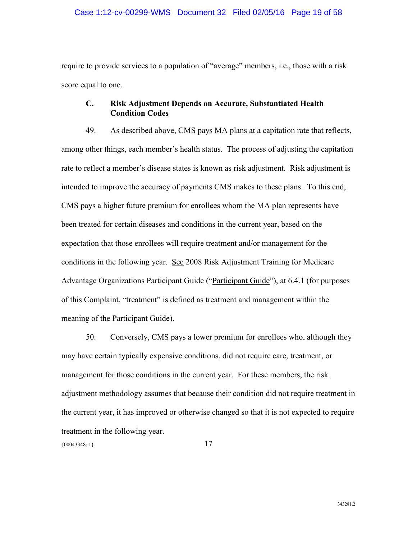### Case 1:12-cv-00299-WMS Document 32 Filed 02/05/16 Page 19 of 58

require to provide services to a population of "average" members, i.e., those with a risk score equal to one.

### **C. Risk Adjustment Depends on Accurate, Substantiated Health Condition Codes**

49. As described above, CMS pays MA plans at a capitation rate that reflects, among other things, each member's health status. The process of adjusting the capitation rate to reflect a member's disease states is known as risk adjustment. Risk adjustment is intended to improve the accuracy of payments CMS makes to these plans. To this end, CMS pays a higher future premium for enrollees whom the MA plan represents have been treated for certain diseases and conditions in the current year, based on the expectation that those enrollees will require treatment and/or management for the conditions in the following year. See 2008 Risk Adjustment Training for Medicare Advantage Organizations Participant Guide ("Participant Guide"), at 6.4.1 (for purposes of this Complaint, "treatment" is defined as treatment and management within the meaning of the Participant Guide).

50. Conversely, CMS pays a lower premium for enrollees who, although they may have certain typically expensive conditions, did not require care, treatment, or management for those conditions in the current year. For these members, the risk adjustment methodology assumes that because their condition did not require treatment in the current year, it has improved or otherwise changed so that it is not expected to require treatment in the following year.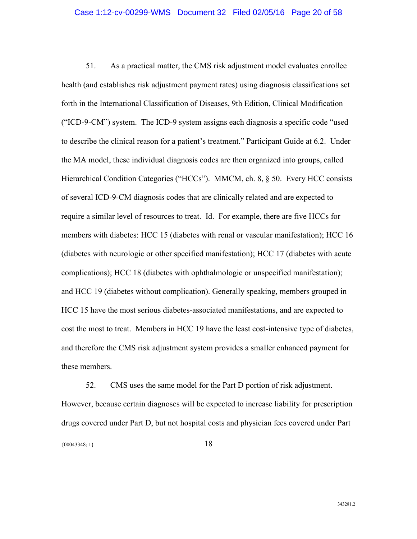51. As a practical matter, the CMS risk adjustment model evaluates enrollee health (and establishes risk adjustment payment rates) using diagnosis classifications set forth in the International Classification of Diseases, 9th Edition, Clinical Modification ("ICD-9-CM") system. The ICD-9 system assigns each diagnosis a specific code "used to describe the clinical reason for a patient's treatment." Participant Guide at 6.2. Under the MA model, these individual diagnosis codes are then organized into groups, called Hierarchical Condition Categories ("HCCs"). MMCM, ch. 8, § 50. Every HCC consists of several ICD-9-CM diagnosis codes that are clinically related and are expected to require a similar level of resources to treat. Id. For example, there are five HCCs for members with diabetes: HCC 15 (diabetes with renal or vascular manifestation); HCC 16 (diabetes with neurologic or other specified manifestation); HCC 17 (diabetes with acute complications); HCC 18 (diabetes with ophthalmologic or unspecified manifestation); and HCC 19 (diabetes without complication). Generally speaking, members grouped in HCC 15 have the most serious diabetes-associated manifestations, and are expected to cost the most to treat. Members in HCC 19 have the least cost-intensive type of diabetes, and therefore the CMS risk adjustment system provides a smaller enhanced payment for these members.

 $\{00043348; 1\}$  18 52. CMS uses the same model for the Part D portion of risk adjustment. However, because certain diagnoses will be expected to increase liability for prescription drugs covered under Part D, but not hospital costs and physician fees covered under Part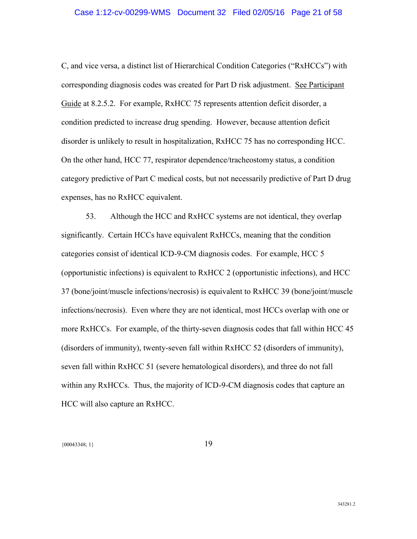### Case 1:12-cv-00299-WMS Document 32 Filed 02/05/16 Page 21 of 58

C, and vice versa, a distinct list of Hierarchical Condition Categories ("RxHCCs") with corresponding diagnosis codes was created for Part D risk adjustment. See Participant Guide at 8.2.5.2. For example, RxHCC 75 represents attention deficit disorder, a condition predicted to increase drug spending. However, because attention deficit disorder is unlikely to result in hospitalization, RxHCC 75 has no corresponding HCC. On the other hand, HCC 77, respirator dependence/tracheostomy status, a condition category predictive of Part C medical costs, but not necessarily predictive of Part D drug expenses, has no RxHCC equivalent.

53. Although the HCC and RxHCC systems are not identical, they overlap significantly. Certain HCCs have equivalent RxHCCs, meaning that the condition categories consist of identical ICD-9-CM diagnosis codes. For example, HCC 5 (opportunistic infections) is equivalent to RxHCC 2 (opportunistic infections), and HCC 37 (bone/joint/muscle infections/necrosis) is equivalent to RxHCC 39 (bone/joint/muscle infections/necrosis). Even where they are not identical, most HCCs overlap with one or more RxHCCs. For example, of the thirty-seven diagnosis codes that fall within HCC 45 (disorders of immunity), twenty-seven fall within RxHCC 52 (disorders of immunity), seven fall within RxHCC 51 (severe hematological disorders), and three do not fall within any RxHCCs. Thus, the majority of ICD-9-CM diagnosis codes that capture an HCC will also capture an RxHCC.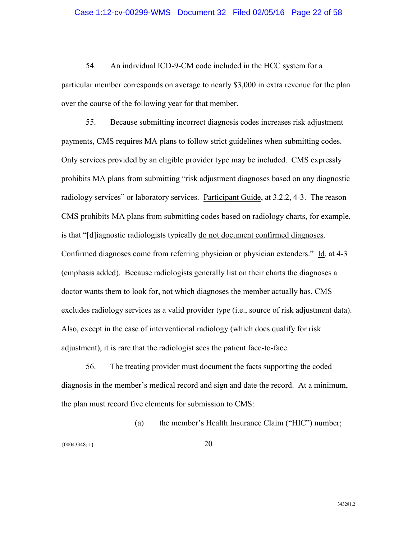54. An individual ICD-9-CM code included in the HCC system for a particular member corresponds on average to nearly \$3,000 in extra revenue for the plan over the course of the following year for that member.

55. Because submitting incorrect diagnosis codes increases risk adjustment payments, CMS requires MA plans to follow strict guidelines when submitting codes. Only services provided by an eligible provider type may be included. CMS expressly prohibits MA plans from submitting "risk adjustment diagnoses based on any diagnostic radiology services" or laboratory services. Participant Guide, at 3.2.2, 4-3. The reason CMS prohibits MA plans from submitting codes based on radiology charts, for example, is that "[d]iagnostic radiologists typically do not document confirmed diagnoses. Confirmed diagnoses come from referring physician or physician extenders." Id. at 4-3 (emphasis added). Because radiologists generally list on their charts the diagnoses a doctor wants them to look for, not which diagnoses the member actually has, CMS excludes radiology services as a valid provider type (i.e., source of risk adjustment data). Also, except in the case of interventional radiology (which does qualify for risk adjustment), it is rare that the radiologist sees the patient face-to-face.

56. The treating provider must document the facts supporting the coded diagnosis in the member's medical record and sign and date the record. At a minimum, the plan must record five elements for submission to CMS:

(a) the member's Health Insurance Claim ("HIC") number;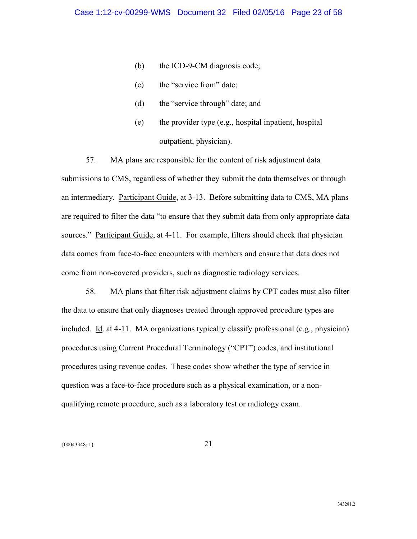- (b) the ICD-9-CM diagnosis code;
- (c) the "service from" date;
- (d) the "service through" date; and
- (e) the provider type (e.g., hospital inpatient, hospital outpatient, physician).

57. MA plans are responsible for the content of risk adjustment data submissions to CMS, regardless of whether they submit the data themselves or through an intermediary. Participant Guide, at 3-13. Before submitting data to CMS, MA plans are required to filter the data "to ensure that they submit data from only appropriate data sources." Participant Guide, at 4-11. For example, filters should check that physician data comes from face-to-face encounters with members and ensure that data does not come from non-covered providers, such as diagnostic radiology services.

58. MA plans that filter risk adjustment claims by CPT codes must also filter the data to ensure that only diagnoses treated through approved procedure types are included. Id. at 4-11. MA organizations typically classify professional (e.g., physician) procedures using Current Procedural Terminology ("CPT") codes, and institutional procedures using revenue codes. These codes show whether the type of service in question was a face-to-face procedure such as a physical examination, or a nonqualifying remote procedure, such as a laboratory test or radiology exam.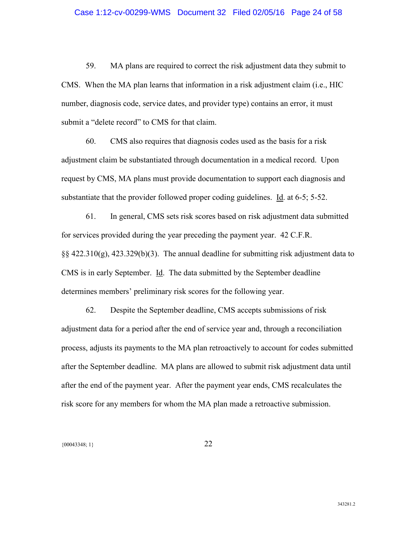59. MA plans are required to correct the risk adjustment data they submit to CMS. When the MA plan learns that information in a risk adjustment claim (i.e., HIC number, diagnosis code, service dates, and provider type) contains an error, it must submit a "delete record" to CMS for that claim.

60. CMS also requires that diagnosis codes used as the basis for a risk adjustment claim be substantiated through documentation in a medical record. Upon request by CMS, MA plans must provide documentation to support each diagnosis and substantiate that the provider followed proper coding guidelines. Id. at 6-5; 5-52.

61. In general, CMS sets risk scores based on risk adjustment data submitted for services provided during the year preceding the payment year. 42 C.F.R.  $\S$ § 422.310(g), 423.329(b)(3). The annual deadline for submitting risk adjustment data to CMS is in early September. Id. The data submitted by the September deadline determines members' preliminary risk scores for the following year.

62. Despite the September deadline, CMS accepts submissions of risk adjustment data for a period after the end of service year and, through a reconciliation process, adjusts its payments to the MA plan retroactively to account for codes submitted after the September deadline. MA plans are allowed to submit risk adjustment data until after the end of the payment year. After the payment year ends, CMS recalculates the risk score for any members for whom the MA plan made a retroactive submission.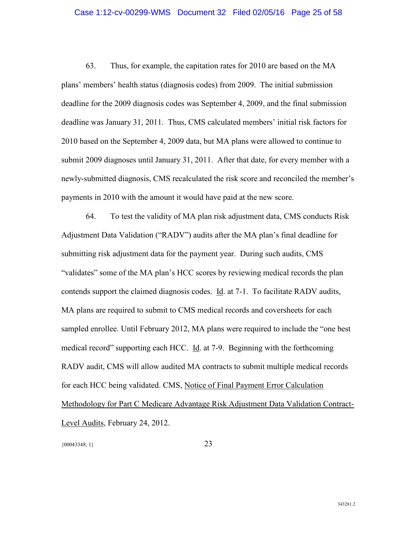### Case 1:12-cv-00299-WMS Document 32 Filed 02/05/16 Page 25 of 58

63. Thus, for example, the capitation rates for 2010 are based on the MA plans' members' health status (diagnosis codes) from 2009. The initial submission deadline for the 2009 diagnosis codes was September 4, 2009, and the final submission deadline was January 31, 2011. Thus, CMS calculated members' initial risk factors for 2010 based on the September 4, 2009 data, but MA plans were allowed to continue to submit 2009 diagnoses until January 31, 2011. After that date, for every member with a newly-submitted diagnosis, CMS recalculated the risk score and reconciled the member's payments in 2010 with the amount it would have paid at the new score.

64. To test the validity of MA plan risk adjustment data, CMS conducts Risk Adjustment Data Validation ("RADV") audits after the MA plan's final deadline for submitting risk adjustment data for the payment year. During such audits, CMS "validates" some of the MA plan's HCC scores by reviewing medical records the plan contends support the claimed diagnosis codes. Id. at 7-1. To facilitate RADV audits, MA plans are required to submit to CMS medical records and coversheets for each sampled enrollee. Until February 2012, MA plans were required to include the "one best medical record" supporting each HCC. Id. at 7-9. Beginning with the forthcoming RADV audit, CMS will allow audited MA contracts to submit multiple medical records for each HCC being validated. CMS, Notice of Final Payment Error Calculation Methodology for Part C Medicare Advantage Risk Adjustment Data Validation Contract-Level Audits, February 24, 2012.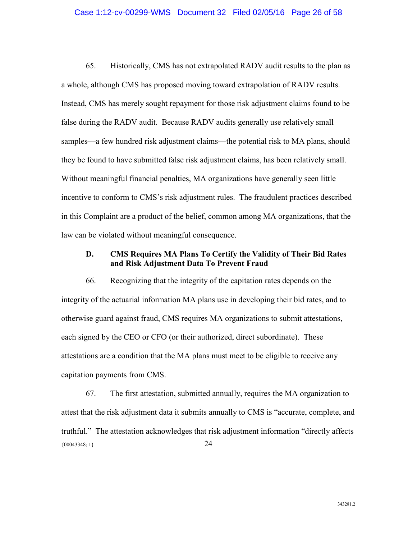65. Historically, CMS has not extrapolated RADV audit results to the plan as a whole, although CMS has proposed moving toward extrapolation of RADV results. Instead, CMS has merely sought repayment for those risk adjustment claims found to be false during the RADV audit. Because RADV audits generally use relatively small samples—a few hundred risk adjustment claims—the potential risk to MA plans, should they be found to have submitted false risk adjustment claims, has been relatively small. Without meaningful financial penalties, MA organizations have generally seen little incentive to conform to CMS's risk adjustment rules. The fraudulent practices described in this Complaint are a product of the belief, common among MA organizations, that the law can be violated without meaningful consequence.

### **D. CMS Requires MA Plans To Certify the Validity of Their Bid Rates and Risk Adjustment Data To Prevent Fraud**

66. Recognizing that the integrity of the capitation rates depends on the integrity of the actuarial information MA plans use in developing their bid rates, and to otherwise guard against fraud, CMS requires MA organizations to submit attestations, each signed by the CEO or CFO (or their authorized, direct subordinate). These attestations are a condition that the MA plans must meet to be eligible to receive any capitation payments from CMS.

 ${00043348; 1}$  24 67. The first attestation, submitted annually, requires the MA organization to attest that the risk adjustment data it submits annually to CMS is "accurate, complete, and truthful." The attestation acknowledges that risk adjustment information "directly affects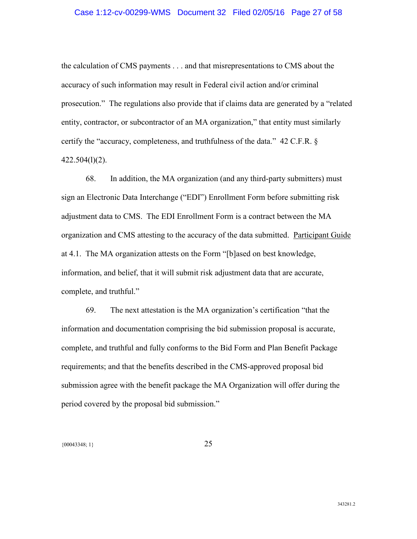### Case 1:12-cv-00299-WMS Document 32 Filed 02/05/16 Page 27 of 58

the calculation of CMS payments . . . and that misrepresentations to CMS about the accuracy of such information may result in Federal civil action and/or criminal prosecution." The regulations also provide that if claims data are generated by a "related entity, contractor, or subcontractor of an MA organization," that entity must similarly certify the "accuracy, completeness, and truthfulness of the data." 42 C.F.R. § 422.504(l)(2).

68. In addition, the MA organization (and any third-party submitters) must sign an Electronic Data Interchange ("EDI") Enrollment Form before submitting risk adjustment data to CMS. The EDI Enrollment Form is a contract between the MA organization and CMS attesting to the accuracy of the data submitted. Participant Guide at 4.1. The MA organization attests on the Form "[b]ased on best knowledge, information, and belief, that it will submit risk adjustment data that are accurate, complete, and truthful."

69. The next attestation is the MA organization's certification "that the information and documentation comprising the bid submission proposal is accurate, complete, and truthful and fully conforms to the Bid Form and Plan Benefit Package requirements; and that the benefits described in the CMS-approved proposal bid submission agree with the benefit package the MA Organization will offer during the period covered by the proposal bid submission."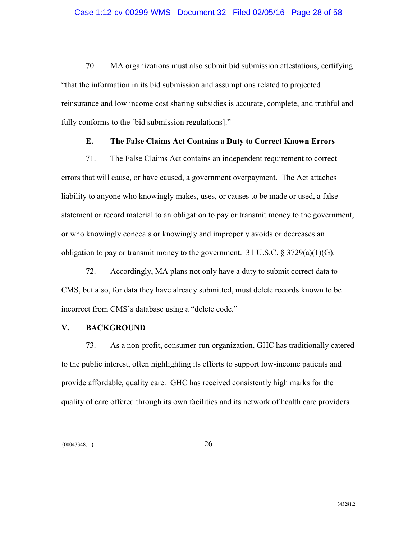70. MA organizations must also submit bid submission attestations, certifying "that the information in its bid submission and assumptions related to projected reinsurance and low income cost sharing subsidies is accurate, complete, and truthful and fully conforms to the [bid submission regulations]."

### **E. The False Claims Act Contains a Duty to Correct Known Errors**

71. The False Claims Act contains an independent requirement to correct errors that will cause, or have caused, a government overpayment. The Act attaches liability to anyone who knowingly makes, uses, or causes to be made or used, a false statement or record material to an obligation to pay or transmit money to the government, or who knowingly conceals or knowingly and improperly avoids or decreases an obligation to pay or transmit money to the government. 31 U.S.C.  $\S 3729(a)(1)(G)$ .

72. Accordingly, MA plans not only have a duty to submit correct data to CMS, but also, for data they have already submitted, must delete records known to be incorrect from CMS's database using a "delete code."

### **V. BACKGROUND**

73. As a non-profit, consumer-run organization, GHC has traditionally catered to the public interest, often highlighting its efforts to support low-income patients and provide affordable, quality care. GHC has received consistently high marks for the quality of care offered through its own facilities and its network of health care providers.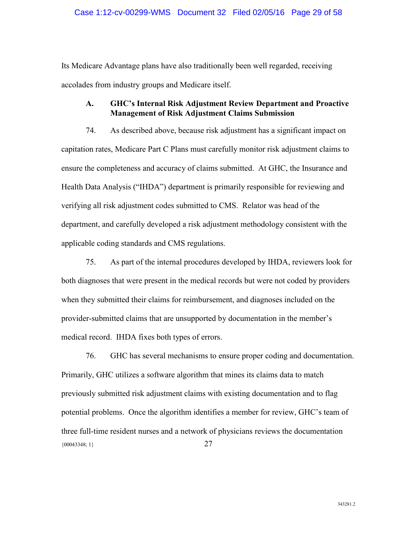### Case 1:12-cv-00299-WMS Document 32 Filed 02/05/16 Page 29 of 58

Its Medicare Advantage plans have also traditionally been well regarded, receiving accolades from industry groups and Medicare itself.

### **A. GHC's Internal Risk Adjustment Review Department and Proactive Management of Risk Adjustment Claims Submission**

74. As described above, because risk adjustment has a significant impact on capitation rates, Medicare Part C Plans must carefully monitor risk adjustment claims to ensure the completeness and accuracy of claims submitted. At GHC, the Insurance and Health Data Analysis ("IHDA") department is primarily responsible for reviewing and verifying all risk adjustment codes submitted to CMS. Relator was head of the department, and carefully developed a risk adjustment methodology consistent with the applicable coding standards and CMS regulations.

75. As part of the internal procedures developed by IHDA, reviewers look for both diagnoses that were present in the medical records but were not coded by providers when they submitted their claims for reimbursement, and diagnoses included on the provider-submitted claims that are unsupported by documentation in the member's medical record. IHDA fixes both types of errors.

 ${00043348; 1}$  27 76. GHC has several mechanisms to ensure proper coding and documentation. Primarily, GHC utilizes a software algorithm that mines its claims data to match previously submitted risk adjustment claims with existing documentation and to flag potential problems. Once the algorithm identifies a member for review, GHC's team of three full-time resident nurses and a network of physicians reviews the documentation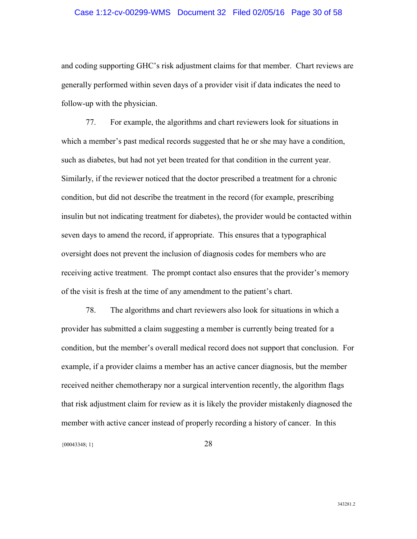### Case 1:12-cv-00299-WMS Document 32 Filed 02/05/16 Page 30 of 58

and coding supporting GHC's risk adjustment claims for that member. Chart reviews are generally performed within seven days of a provider visit if data indicates the need to follow-up with the physician.

77. For example, the algorithms and chart reviewers look for situations in which a member's past medical records suggested that he or she may have a condition, such as diabetes, but had not yet been treated for that condition in the current year. Similarly, if the reviewer noticed that the doctor prescribed a treatment for a chronic condition, but did not describe the treatment in the record (for example, prescribing insulin but not indicating treatment for diabetes), the provider would be contacted within seven days to amend the record, if appropriate. This ensures that a typographical oversight does not prevent the inclusion of diagnosis codes for members who are receiving active treatment. The prompt contact also ensures that the provider's memory of the visit is fresh at the time of any amendment to the patient's chart.

78. The algorithms and chart reviewers also look for situations in which a provider has submitted a claim suggesting a member is currently being treated for a condition, but the member's overall medical record does not support that conclusion. For example, if a provider claims a member has an active cancer diagnosis, but the member received neither chemotherapy nor a surgical intervention recently, the algorithm flags that risk adjustment claim for review as it is likely the provider mistakenly diagnosed the member with active cancer instead of properly recording a history of cancer. In this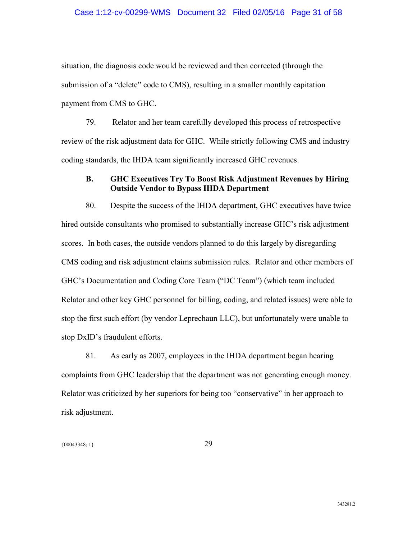### Case 1:12-cv-00299-WMS Document 32 Filed 02/05/16 Page 31 of 58

situation, the diagnosis code would be reviewed and then corrected (through the submission of a "delete" code to CMS), resulting in a smaller monthly capitation payment from CMS to GHC.

79. Relator and her team carefully developed this process of retrospective review of the risk adjustment data for GHC. While strictly following CMS and industry coding standards, the IHDA team significantly increased GHC revenues.

### **B. GHC Executives Try To Boost Risk Adjustment Revenues by Hiring Outside Vendor to Bypass IHDA Department**

80. Despite the success of the IHDA department, GHC executives have twice hired outside consultants who promised to substantially increase GHC's risk adjustment scores. In both cases, the outside vendors planned to do this largely by disregarding CMS coding and risk adjustment claims submission rules. Relator and other members of GHC's Documentation and Coding Core Team ("DC Team") (which team included Relator and other key GHC personnel for billing, coding, and related issues) were able to stop the first such effort (by vendor Leprechaun LLC), but unfortunately were unable to stop DxID's fraudulent efforts.

81. As early as 2007, employees in the IHDA department began hearing complaints from GHC leadership that the department was not generating enough money. Relator was criticized by her superiors for being too "conservative" in her approach to risk adjustment.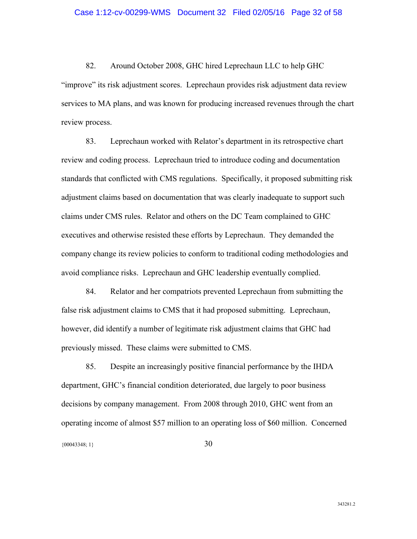82. Around October 2008, GHC hired Leprechaun LLC to help GHC "improve" its risk adjustment scores. Leprechaun provides risk adjustment data review services to MA plans, and was known for producing increased revenues through the chart review process.

83. Leprechaun worked with Relator's department in its retrospective chart review and coding process. Leprechaun tried to introduce coding and documentation standards that conflicted with CMS regulations. Specifically, it proposed submitting risk adjustment claims based on documentation that was clearly inadequate to support such claims under CMS rules. Relator and others on the DC Team complained to GHC executives and otherwise resisted these efforts by Leprechaun. They demanded the company change its review policies to conform to traditional coding methodologies and avoid compliance risks. Leprechaun and GHC leadership eventually complied.

84. Relator and her compatriots prevented Leprechaun from submitting the false risk adjustment claims to CMS that it had proposed submitting. Leprechaun, however, did identify a number of legitimate risk adjustment claims that GHC had previously missed. These claims were submitted to CMS.

 ${00043348; 1}$  30 85. Despite an increasingly positive financial performance by the IHDA department, GHC's financial condition deteriorated, due largely to poor business decisions by company management. From 2008 through 2010, GHC went from an operating income of almost \$57 million to an operating loss of \$60 million. Concerned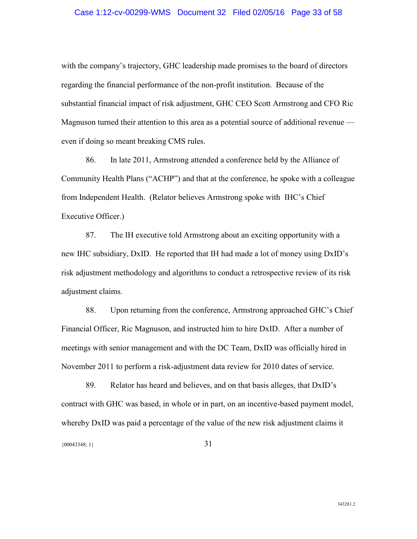### Case 1:12-cv-00299-WMS Document 32 Filed 02/05/16 Page 33 of 58

with the company's trajectory, GHC leadership made promises to the board of directors regarding the financial performance of the non-profit institution. Because of the substantial financial impact of risk adjustment, GHC CEO Scott Armstrong and CFO Ric Magnuson turned their attention to this area as a potential source of additional revenue even if doing so meant breaking CMS rules.

86. In late 2011, Armstrong attended a conference held by the Alliance of Community Health Plans ("ACHP") and that at the conference, he spoke with a colleague from Independent Health. (Relator believes Armstrong spoke with IHC's Chief Executive Officer.)

87. The IH executive told Armstrong about an exciting opportunity with a new IHC subsidiary, DxID. He reported that IH had made a lot of money using DxID's risk adjustment methodology and algorithms to conduct a retrospective review of its risk adjustment claims.

88. Upon returning from the conference, Armstrong approached GHC's Chief Financial Officer, Ric Magnuson, and instructed him to hire DxID. After a number of meetings with senior management and with the DC Team, DxID was officially hired in November 2011 to perform a risk-adjustment data review for 2010 dates of service.

89. Relator has heard and believes, and on that basis alleges, that DxID's contract with GHC was based, in whole or in part, on an incentive-based payment model, whereby DxID was paid a percentage of the value of the new risk adjustment claims it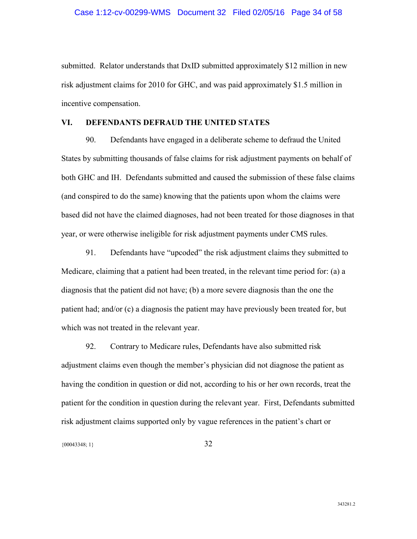### Case 1:12-cv-00299-WMS Document 32 Filed 02/05/16 Page 34 of 58

submitted. Relator understands that DxID submitted approximately \$12 million in new risk adjustment claims for 2010 for GHC, and was paid approximately \$1.5 million in incentive compensation.

### **VI. DEFENDANTS DEFRAUD THE UNITED STATES**

90. Defendants have engaged in a deliberate scheme to defraud the United States by submitting thousands of false claims for risk adjustment payments on behalf of both GHC and IH. Defendants submitted and caused the submission of these false claims (and conspired to do the same) knowing that the patients upon whom the claims were based did not have the claimed diagnoses, had not been treated for those diagnoses in that year, or were otherwise ineligible for risk adjustment payments under CMS rules.

91. Defendants have "upcoded" the risk adjustment claims they submitted to Medicare, claiming that a patient had been treated, in the relevant time period for: (a) a diagnosis that the patient did not have; (b) a more severe diagnosis than the one the patient had; and/or (c) a diagnosis the patient may have previously been treated for, but which was not treated in the relevant year.

92. Contrary to Medicare rules, Defendants have also submitted risk adjustment claims even though the member's physician did not diagnose the patient as having the condition in question or did not, according to his or her own records, treat the patient for the condition in question during the relevant year. First, Defendants submitted risk adjustment claims supported only by vague references in the patient's chart or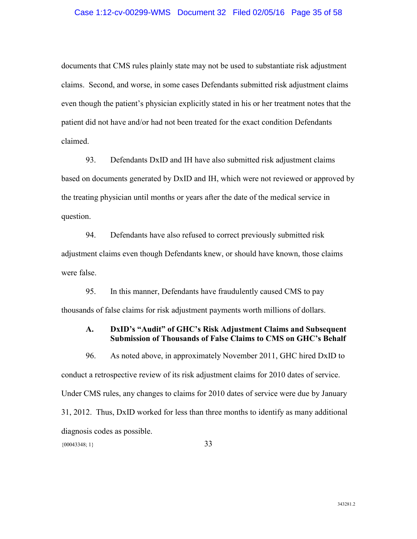### Case 1:12-cv-00299-WMS Document 32 Filed 02/05/16 Page 35 of 58

documents that CMS rules plainly state may not be used to substantiate risk adjustment claims. Second, and worse, in some cases Defendants submitted risk adjustment claims even though the patient's physician explicitly stated in his or her treatment notes that the patient did not have and/or had not been treated for the exact condition Defendants claimed.

93. Defendants DxID and IH have also submitted risk adjustment claims based on documents generated by DxID and IH, which were not reviewed or approved by the treating physician until months or years after the date of the medical service in question.

94. Defendants have also refused to correct previously submitted risk adjustment claims even though Defendants knew, or should have known, those claims were false.

95. In this manner, Defendants have fraudulently caused CMS to pay thousands of false claims for risk adjustment payments worth millions of dollars.

### **A. DxID's "Audit" of GHC's Risk Adjustment Claims and Subsequent Submission of Thousands of False Claims to CMS on GHC's Behalf**

{00043348; 1} 33 96. As noted above, in approximately November 2011, GHC hired DxID to conduct a retrospective review of its risk adjustment claims for 2010 dates of service. Under CMS rules, any changes to claims for 2010 dates of service were due by January 31, 2012. Thus, DxID worked for less than three months to identify as many additional diagnosis codes as possible.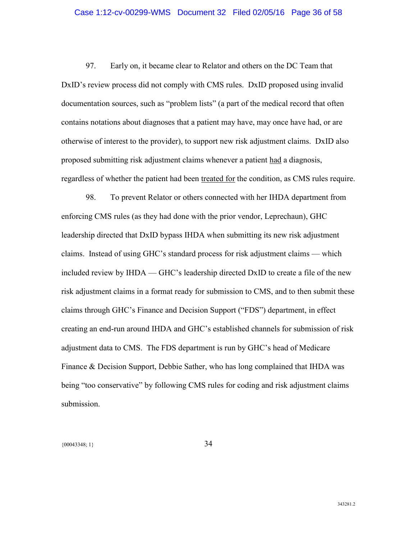### Case 1:12-cv-00299-WMS Document 32 Filed 02/05/16 Page 36 of 58

97. Early on, it became clear to Relator and others on the DC Team that DxID's review process did not comply with CMS rules. DxID proposed using invalid documentation sources, such as "problem lists" (a part of the medical record that often contains notations about diagnoses that a patient may have, may once have had, or are otherwise of interest to the provider), to support new risk adjustment claims. DxID also proposed submitting risk adjustment claims whenever a patient had a diagnosis, regardless of whether the patient had been treated for the condition, as CMS rules require.

98. To prevent Relator or others connected with her IHDA department from enforcing CMS rules (as they had done with the prior vendor, Leprechaun), GHC leadership directed that DxID bypass IHDA when submitting its new risk adjustment claims. Instead of using GHC's standard process for risk adjustment claims — which included review by IHDA — GHC's leadership directed DxID to create a file of the new risk adjustment claims in a format ready for submission to CMS, and to then submit these claims through GHC's Finance and Decision Support ("FDS") department, in effect creating an end-run around IHDA and GHC's established channels for submission of risk adjustment data to CMS. The FDS department is run by GHC's head of Medicare Finance & Decision Support, Debbie Sather, who has long complained that IHDA was being "too conservative" by following CMS rules for coding and risk adjustment claims submission.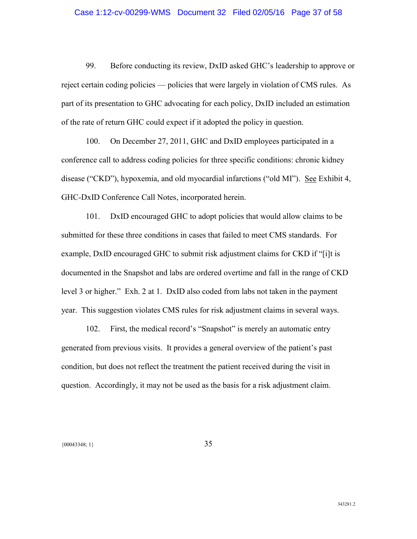### Case 1:12-cv-00299-WMS Document 32 Filed 02/05/16 Page 37 of 58

99. Before conducting its review, DxID asked GHC's leadership to approve or reject certain coding policies — policies that were largely in violation of CMS rules. As part of its presentation to GHC advocating for each policy, DxID included an estimation of the rate of return GHC could expect if it adopted the policy in question.

100. On December 27, 2011, GHC and DxID employees participated in a conference call to address coding policies for three specific conditions: chronic kidney disease ("CKD"), hypoxemia, and old myocardial infarctions ("old MI"). See Exhibit 4, GHC-DxID Conference Call Notes, incorporated herein.

101. DxID encouraged GHC to adopt policies that would allow claims to be submitted for these three conditions in cases that failed to meet CMS standards. For example, DxID encouraged GHC to submit risk adjustment claims for CKD if "[i]t is documented in the Snapshot and labs are ordered overtime and fall in the range of CKD level 3 or higher." Exh. 2 at 1. DxID also coded from labs not taken in the payment year. This suggestion violates CMS rules for risk adjustment claims in several ways.

102. First, the medical record's "Snapshot" is merely an automatic entry generated from previous visits. It provides a general overview of the patient's past condition, but does not reflect the treatment the patient received during the visit in question. Accordingly, it may not be used as the basis for a risk adjustment claim.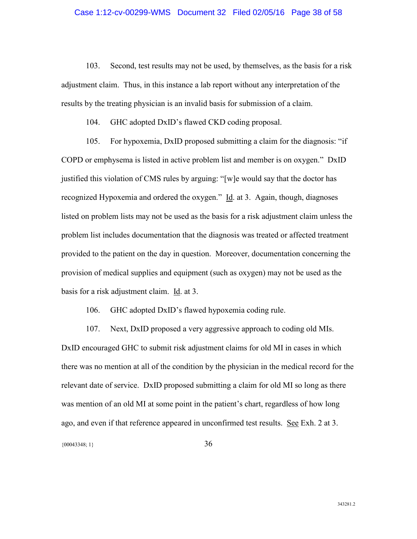103. Second, test results may not be used, by themselves, as the basis for a risk adjustment claim. Thus, in this instance a lab report without any interpretation of the results by the treating physician is an invalid basis for submission of a claim.

104. GHC adopted DxID's flawed CKD coding proposal.

105. For hypoxemia, DxID proposed submitting a claim for the diagnosis: "if COPD or emphysema is listed in active problem list and member is on oxygen." DxID justified this violation of CMS rules by arguing: "[w]e would say that the doctor has recognized Hypoxemia and ordered the oxygen." Id. at 3. Again, though, diagnoses listed on problem lists may not be used as the basis for a risk adjustment claim unless the problem list includes documentation that the diagnosis was treated or affected treatment provided to the patient on the day in question. Moreover, documentation concerning the provision of medical supplies and equipment (such as oxygen) may not be used as the basis for a risk adjustment claim. Id. at 3.

106. GHC adopted DxID's flawed hypoxemia coding rule.

107. Next, DxID proposed a very aggressive approach to coding old MIs. DxID encouraged GHC to submit risk adjustment claims for old MI in cases in which there was no mention at all of the condition by the physician in the medical record for the relevant date of service. DxID proposed submitting a claim for old MI so long as there was mention of an old MI at some point in the patient's chart, regardless of how long ago, and even if that reference appeared in unconfirmed test results. See Exh. 2 at 3.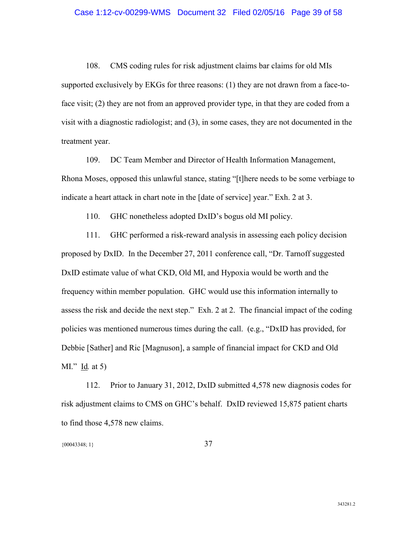### Case 1:12-cv-00299-WMS Document 32 Filed 02/05/16 Page 39 of 58

108. CMS coding rules for risk adjustment claims bar claims for old MIs supported exclusively by EKGs for three reasons: (1) they are not drawn from a face-toface visit; (2) they are not from an approved provider type, in that they are coded from a visit with a diagnostic radiologist; and (3), in some cases, they are not documented in the treatment year.

109. DC Team Member and Director of Health Information Management, Rhona Moses, opposed this unlawful stance, stating "[t]here needs to be some verbiage to indicate a heart attack in chart note in the [date of service] year." Exh. 2 at 3.

110. GHC nonetheless adopted DxID's bogus old MI policy.

111. GHC performed a risk-reward analysis in assessing each policy decision proposed by DxID. In the December 27, 2011 conference call, "Dr. Tarnoff suggested DxID estimate value of what CKD, Old MI, and Hypoxia would be worth and the frequency within member population. GHC would use this information internally to assess the risk and decide the next step." Exh. 2 at 2. The financial impact of the coding policies was mentioned numerous times during the call. (e.g., "DxID has provided, for Debbie [Sather] and Ric [Magnuson], a sample of financial impact for CKD and Old MI." Id*.* at 5)

112. Prior to January 31, 2012, DxID submitted 4,578 new diagnosis codes for risk adjustment claims to CMS on GHC's behalf. DxID reviewed 15,875 patient charts to find those 4,578 new claims.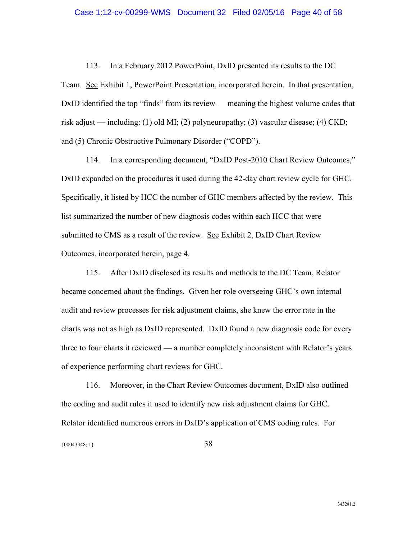### Case 1:12-cv-00299-WMS Document 32 Filed 02/05/16 Page 40 of 58

113. In a February 2012 PowerPoint, DxID presented its results to the DC Team. See Exhibit 1, PowerPoint Presentation, incorporated herein. In that presentation, DxID identified the top "finds" from its review — meaning the highest volume codes that risk adjust — including: (1) old MI; (2) polyneuropathy; (3) vascular disease; (4) CKD; and (5) Chronic Obstructive Pulmonary Disorder ("COPD").

114. In a corresponding document, "DxID Post-2010 Chart Review Outcomes," DxID expanded on the procedures it used during the 42-day chart review cycle for GHC. Specifically, it listed by HCC the number of GHC members affected by the review. This list summarized the number of new diagnosis codes within each HCC that were submitted to CMS as a result of the review. See Exhibit 2, DxID Chart Review Outcomes, incorporated herein, page 4.

115. After DxID disclosed its results and methods to the DC Team, Relator became concerned about the findings. Given her role overseeing GHC's own internal audit and review processes for risk adjustment claims, she knew the error rate in the charts was not as high as DxID represented. DxID found a new diagnosis code for every three to four charts it reviewed — a number completely inconsistent with Relator's years of experience performing chart reviews for GHC.

116. Moreover, in the Chart Review Outcomes document, DxID also outlined the coding and audit rules it used to identify new risk adjustment claims for GHC. Relator identified numerous errors in DxID's application of CMS coding rules. For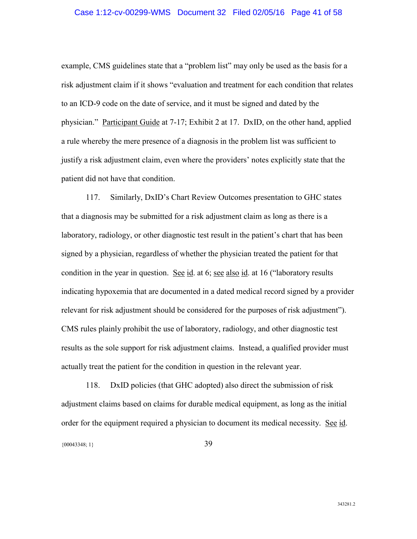### Case 1:12-cv-00299-WMS Document 32 Filed 02/05/16 Page 41 of 58

example, CMS guidelines state that a "problem list" may only be used as the basis for a risk adjustment claim if it shows "evaluation and treatment for each condition that relates to an ICD-9 code on the date of service, and it must be signed and dated by the physician." Participant Guide at 7-17; Exhibit 2 at 17. DxID, on the other hand, applied a rule whereby the mere presence of a diagnosis in the problem list was sufficient to justify a risk adjustment claim, even where the providers' notes explicitly state that the patient did not have that condition.

117. Similarly, DxID's Chart Review Outcomes presentation to GHC states that a diagnosis may be submitted for a risk adjustment claim as long as there is a laboratory, radiology, or other diagnostic test result in the patient's chart that has been signed by a physician, regardless of whether the physician treated the patient for that condition in the year in question. See id. at 6; see also id. at 16 ("laboratory results indicating hypoxemia that are documented in a dated medical record signed by a provider relevant for risk adjustment should be considered for the purposes of risk adjustment"). CMS rules plainly prohibit the use of laboratory, radiology, and other diagnostic test results as the sole support for risk adjustment claims. Instead, a qualified provider must actually treat the patient for the condition in question in the relevant year.

{00043348; 1} 39 118. DxID policies (that GHC adopted) also direct the submission of risk adjustment claims based on claims for durable medical equipment, as long as the initial order for the equipment required a physician to document its medical necessity. See id.

343281.2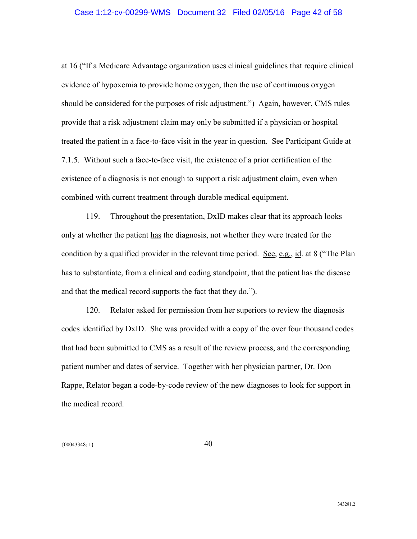### Case 1:12-cv-00299-WMS Document 32 Filed 02/05/16 Page 42 of 58

at 16 ("If a Medicare Advantage organization uses clinical guidelines that require clinical evidence of hypoxemia to provide home oxygen, then the use of continuous oxygen should be considered for the purposes of risk adjustment.") Again, however, CMS rules provide that a risk adjustment claim may only be submitted if a physician or hospital treated the patient in a face-to-face visit in the year in question. See Participant Guide at 7.1.5. Without such a face-to-face visit, the existence of a prior certification of the existence of a diagnosis is not enough to support a risk adjustment claim, even when combined with current treatment through durable medical equipment.

119. Throughout the presentation, DxID makes clear that its approach looks only at whether the patient has the diagnosis, not whether they were treated for the condition by a qualified provider in the relevant time period. See, e.g., id. at 8 ("The Plan has to substantiate, from a clinical and coding standpoint, that the patient has the disease and that the medical record supports the fact that they do.").

120. Relator asked for permission from her superiors to review the diagnosis codes identified by DxID. She was provided with a copy of the over four thousand codes that had been submitted to CMS as a result of the review process, and the corresponding patient number and dates of service. Together with her physician partner, Dr. Don Rappe, Relator began a code-by-code review of the new diagnoses to look for support in the medical record.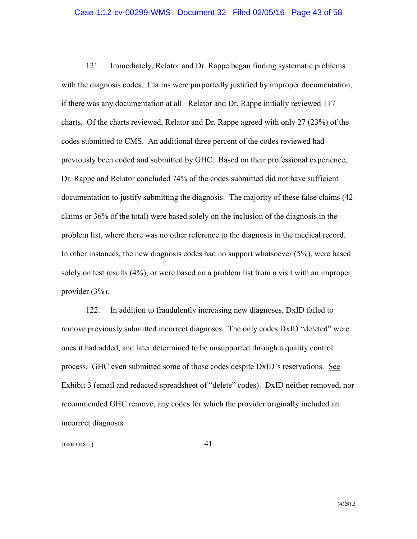### Case 1:12-cv-00299-WMS Document 32 Filed 02/05/16 Page 43 of 58

121. Immediately, Relator and Dr. Rappe began finding systematic problems with the diagnosis codes. Claims were purportedly justified by improper documentation, if there was any documentation at all. Relator and Dr. Rappe initially reviewed 117 charts. Of the charts reviewed, Relator and Dr. Rappe agreed with only 27 (23%) of the codes submitted to CMS. An additional three percent of the codes reviewed had previously been coded and submitted by GHC. Based on their professional experience, Dr. Rappe and Relator concluded 74% of the codes submitted did not have sufficient documentation to justify submitting the diagnosis. The majority of these false claims (42 claims or 36% of the total) were based solely on the inclusion of the diagnosis in the problem list, where there was no other reference to the diagnosis in the medical record. In other instances, the new diagnosis codes had no support whatsoever (5%), were based solely on test results (4%), or were based on a problem list from a visit with an improper provider (3%).

122. In addition to fraudulently increasing new diagnoses, DxID failed to remove previously submitted incorrect diagnoses. The only codes DxID "deleted" were ones it had added, and later determined to be unsupported through a quality control process. GHC even submitted some of those codes despite DxID's reservations. See Exhibit 3 (email and redacted spreadsheet of "delete" codes). DxID neither removed, nor recommended GHC remove, any codes for which the provider originally included an incorrect diagnosis.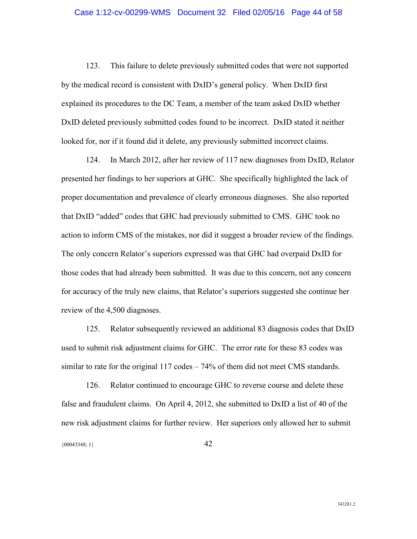### Case 1:12-cv-00299-WMS Document 32 Filed 02/05/16 Page 44 of 58

123. This failure to delete previously submitted codes that were not supported by the medical record is consistent with DxID's general policy. When DxID first explained its procedures to the DC Team, a member of the team asked DxID whether DxID deleted previously submitted codes found to be incorrect. DxID stated it neither looked for, nor if it found did it delete, any previously submitted incorrect claims.

124. In March 2012, after her review of 117 new diagnoses from DxID, Relator presented her findings to her superiors at GHC. She specifically highlighted the lack of proper documentation and prevalence of clearly erroneous diagnoses. She also reported that DxID "added" codes that GHC had previously submitted to CMS. GHC took no action to inform CMS of the mistakes, nor did it suggest a broader review of the findings. The only concern Relator's superiors expressed was that GHC had overpaid DxID for those codes that had already been submitted. It was due to this concern, not any concern for accuracy of the truly new claims, that Relator's superiors suggested she continue her review of the 4,500 diagnoses.

125. Relator subsequently reviewed an additional 83 diagnosis codes that DxID used to submit risk adjustment claims for GHC. The error rate for these 83 codes was similar to rate for the original 117 codes – 74% of them did not meet CMS standards.

{00043348; 1} 42 126. Relator continued to encourage GHC to reverse course and delete these false and fraudulent claims. On April 4, 2012, she submitted to DxID a list of 40 of the new risk adjustment claims for further review. Her superiors only allowed her to submit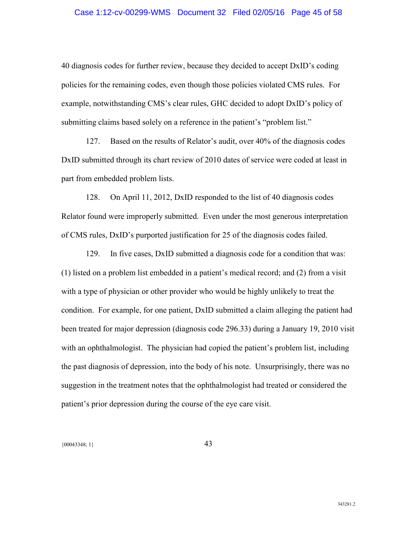### Case 1:12-cv-00299-WMS Document 32 Filed 02/05/16 Page 45 of 58

40 diagnosis codes for further review, because they decided to accept DxID's coding policies for the remaining codes, even though those policies violated CMS rules. For example, notwithstanding CMS's clear rules, GHC decided to adopt DxID's policy of submitting claims based solely on a reference in the patient's "problem list."

127. Based on the results of Relator's audit, over 40% of the diagnosis codes DxID submitted through its chart review of 2010 dates of service were coded at least in part from embedded problem lists.

128. On April 11, 2012, DxID responded to the list of 40 diagnosis codes Relator found were improperly submitted. Even under the most generous interpretation of CMS rules, DxID's purported justification for 25 of the diagnosis codes failed.

129. In five cases, DxID submitted a diagnosis code for a condition that was: (1) listed on a problem list embedded in a patient's medical record; and (2) from a visit with a type of physician or other provider who would be highly unlikely to treat the condition. For example, for one patient, DxID submitted a claim alleging the patient had been treated for major depression (diagnosis code 296.33) during a January 19, 2010 visit with an ophthalmologist. The physician had copied the patient's problem list, including the past diagnosis of depression, into the body of his note. Unsurprisingly, there was no suggestion in the treatment notes that the ophthalmologist had treated or considered the patient's prior depression during the course of the eye care visit.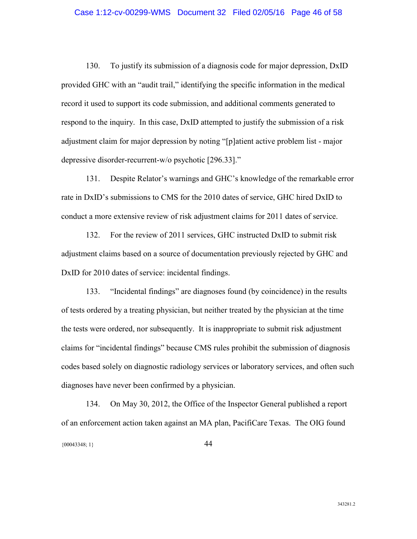130. To justify its submission of a diagnosis code for major depression, DxID provided GHC with an "audit trail," identifying the specific information in the medical record it used to support its code submission, and additional comments generated to respond to the inquiry. In this case, DxID attempted to justify the submission of a risk adjustment claim for major depression by noting "[p]atient active problem list - major depressive disorder-recurrent-w/o psychotic [296.33]."

131. Despite Relator's warnings and GHC's knowledge of the remarkable error rate in DxID's submissions to CMS for the 2010 dates of service, GHC hired DxID to conduct a more extensive review of risk adjustment claims for 2011 dates of service.

132. For the review of 2011 services, GHC instructed DxID to submit risk adjustment claims based on a source of documentation previously rejected by GHC and DxID for 2010 dates of service: incidental findings.

133. "Incidental findings" are diagnoses found (by coincidence) in the results of tests ordered by a treating physician, but neither treated by the physician at the time the tests were ordered, nor subsequently. It is inappropriate to submit risk adjustment claims for "incidental findings" because CMS rules prohibit the submission of diagnosis codes based solely on diagnostic radiology services or laboratory services, and often such diagnoses have never been confirmed by a physician.

{00043348; 1} 44 134. On May 30, 2012, the Office of the Inspector General published a report of an enforcement action taken against an MA plan, PacifiCare Texas. The OIG found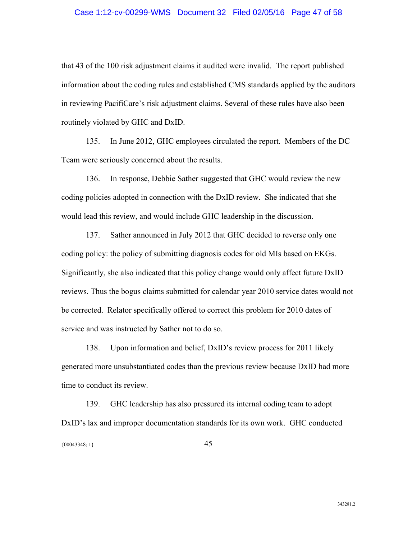### Case 1:12-cv-00299-WMS Document 32 Filed 02/05/16 Page 47 of 58

that 43 of the 100 risk adjustment claims it audited were invalid. The report published information about the coding rules and established CMS standards applied by the auditors in reviewing PacifiCare's risk adjustment claims. Several of these rules have also been routinely violated by GHC and DxID.

135. In June 2012, GHC employees circulated the report. Members of the DC Team were seriously concerned about the results.

136. In response, Debbie Sather suggested that GHC would review the new coding policies adopted in connection with the DxID review. She indicated that she would lead this review, and would include GHC leadership in the discussion.

137. Sather announced in July 2012 that GHC decided to reverse only one coding policy: the policy of submitting diagnosis codes for old MIs based on EKGs. Significantly, she also indicated that this policy change would only affect future DxID reviews. Thus the bogus claims submitted for calendar year 2010 service dates would not be corrected. Relator specifically offered to correct this problem for 2010 dates of service and was instructed by Sather not to do so.

138. Upon information and belief, DxID's review process for 2011 likely generated more unsubstantiated codes than the previous review because DxID had more time to conduct its review.

{00043348; 1} 45 139. GHC leadership has also pressured its internal coding team to adopt DxID's lax and improper documentation standards for its own work. GHC conducted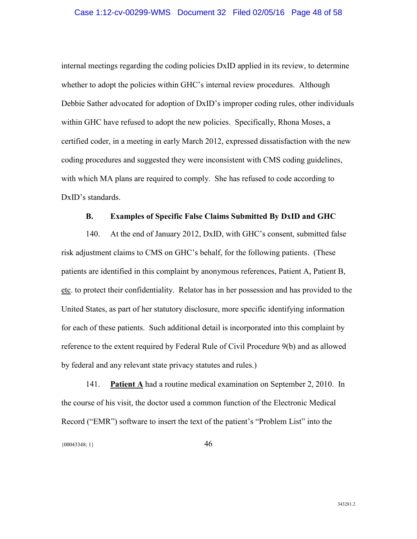internal meetings regarding the coding policies DxID applied in its review, to determine whether to adopt the policies within GHC's internal review procedures. Although Debbie Sather advocated for adoption of DxID's improper coding rules, other individuals within GHC have refused to adopt the new policies. Specifically, Rhona Moses, a certified coder, in a meeting in early March 2012, expressed dissatisfaction with the new coding procedures and suggested they were inconsistent with CMS coding guidelines, with which MA plans are required to comply. She has refused to code according to DxID's standards.

### **B. Examples of Specific False Claims Submitted By DxID and GHC**

140. At the end of January 2012, DxID, with GHC's consent, submitted false risk adjustment claims to CMS on GHC's behalf, for the following patients. (These patients are identified in this complaint by anonymous references, Patient A, Patient B, etc. to protect their confidentiality. Relator has in her possession and has provided to the United States, as part of her statutory disclosure, more specific identifying information for each of these patients. Such additional detail is incorporated into this complaint by reference to the extent required by Federal Rule of Civil Procedure 9(b) and as allowed by federal and any relevant state privacy statutes and rules.)

141. **Patient A** had a routine medical examination on September 2, 2010. In the course of his visit, the doctor used a common function of the Electronic Medical Record ("EMR") software to insert the text of the patient's "Problem List" into the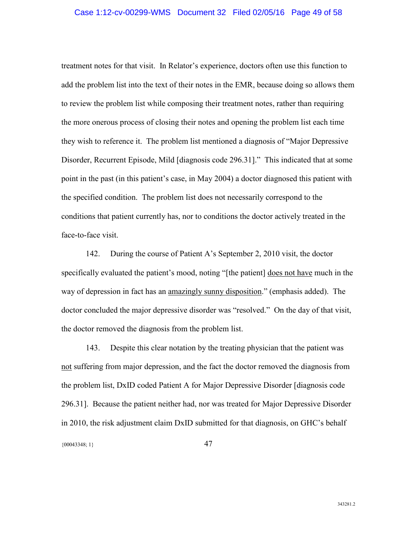### Case 1:12-cv-00299-WMS Document 32 Filed 02/05/16 Page 49 of 58

treatment notes for that visit. In Relator's experience, doctors often use this function to add the problem list into the text of their notes in the EMR, because doing so allows them to review the problem list while composing their treatment notes, rather than requiring the more onerous process of closing their notes and opening the problem list each time they wish to reference it. The problem list mentioned a diagnosis of "Major Depressive Disorder, Recurrent Episode, Mild [diagnosis code 296.31]." This indicated that at some point in the past (in this patient's case, in May 2004) a doctor diagnosed this patient with the specified condition. The problem list does not necessarily correspond to the conditions that patient currently has, nor to conditions the doctor actively treated in the face-to-face visit.

142. During the course of Patient A's September 2, 2010 visit, the doctor specifically evaluated the patient's mood, noting "[the patient] does not have much in the way of depression in fact has an amazingly sunny disposition." (emphasis added). The doctor concluded the major depressive disorder was "resolved." On the day of that visit, the doctor removed the diagnosis from the problem list.

{00043348; 1} 47 143. Despite this clear notation by the treating physician that the patient was not suffering from major depression, and the fact the doctor removed the diagnosis from the problem list, DxID coded Patient A for Major Depressive Disorder [diagnosis code 296.31]. Because the patient neither had, nor was treated for Major Depressive Disorder in 2010, the risk adjustment claim DxID submitted for that diagnosis, on GHC's behalf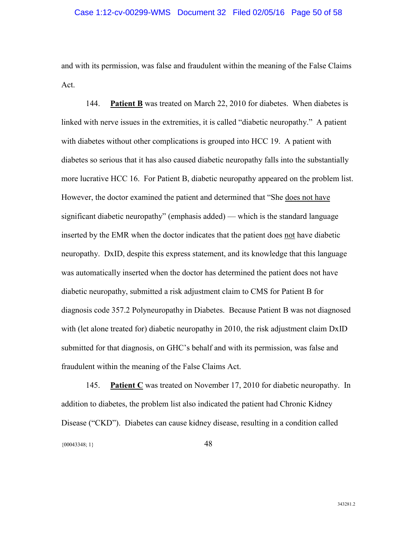and with its permission, was false and fraudulent within the meaning of the False Claims Act.

144. **Patient B** was treated on March 22, 2010 for diabetes. When diabetes is linked with nerve issues in the extremities, it is called "diabetic neuropathy." A patient with diabetes without other complications is grouped into HCC 19. A patient with diabetes so serious that it has also caused diabetic neuropathy falls into the substantially more lucrative HCC 16. For Patient B, diabetic neuropathy appeared on the problem list. However, the doctor examined the patient and determined that "She does not have significant diabetic neuropathy" (emphasis added) — which is the standard language inserted by the EMR when the doctor indicates that the patient does not have diabetic neuropathy. DxID, despite this express statement, and its knowledge that this language was automatically inserted when the doctor has determined the patient does not have diabetic neuropathy, submitted a risk adjustment claim to CMS for Patient B for diagnosis code 357.2 Polyneuropathy in Diabetes. Because Patient B was not diagnosed with (let alone treated for) diabetic neuropathy in 2010, the risk adjustment claim DxID submitted for that diagnosis, on GHC's behalf and with its permission, was false and fraudulent within the meaning of the False Claims Act.

{00043348; 1} 48 145. **Patient C** was treated on November 17, 2010 for diabetic neuropathy. In addition to diabetes, the problem list also indicated the patient had Chronic Kidney Disease ("CKD"). Diabetes can cause kidney disease, resulting in a condition called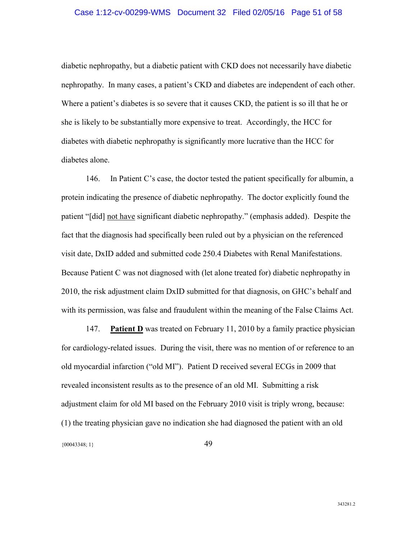### Case 1:12-cv-00299-WMS Document 32 Filed 02/05/16 Page 51 of 58

diabetic nephropathy, but a diabetic patient with CKD does not necessarily have diabetic nephropathy. In many cases, a patient's CKD and diabetes are independent of each other. Where a patient's diabetes is so severe that it causes CKD, the patient is so ill that he or she is likely to be substantially more expensive to treat. Accordingly, the HCC for diabetes with diabetic nephropathy is significantly more lucrative than the HCC for diabetes alone.

146. In Patient C's case, the doctor tested the patient specifically for albumin, a protein indicating the presence of diabetic nephropathy. The doctor explicitly found the patient "[did] not have significant diabetic nephropathy." (emphasis added). Despite the fact that the diagnosis had specifically been ruled out by a physician on the referenced visit date, DxID added and submitted code 250.4 Diabetes with Renal Manifestations. Because Patient C was not diagnosed with (let alone treated for) diabetic nephropathy in 2010, the risk adjustment claim DxID submitted for that diagnosis, on GHC's behalf and with its permission, was false and fraudulent within the meaning of the False Claims Act.

{00043348; 1} 49 147. **Patient D** was treated on February 11, 2010 by a family practice physician for cardiology-related issues. During the visit, there was no mention of or reference to an old myocardial infarction ("old MI"). Patient D received several ECGs in 2009 that revealed inconsistent results as to the presence of an old MI. Submitting a risk adjustment claim for old MI based on the February 2010 visit is triply wrong, because: (1) the treating physician gave no indication she had diagnosed the patient with an old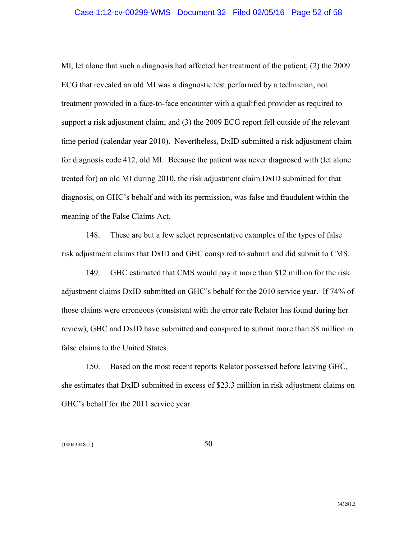MI, let alone that such a diagnosis had affected her treatment of the patient; (2) the 2009 ECG that revealed an old MI was a diagnostic test performed by a technician, not treatment provided in a face-to-face encounter with a qualified provider as required to support a risk adjustment claim; and (3) the 2009 ECG report fell outside of the relevant time period (calendar year 2010). Nevertheless, DxID submitted a risk adjustment claim for diagnosis code 412, old MI. Because the patient was never diagnosed with (let alone treated for) an old MI during 2010, the risk adjustment claim DxID submitted for that diagnosis, on GHC's behalf and with its permission, was false and fraudulent within the meaning of the False Claims Act.

148. These are but a few select representative examples of the types of false risk adjustment claims that DxID and GHC conspired to submit and did submit to CMS.

149. GHC estimated that CMS would pay it more than \$12 million for the risk adjustment claims DxID submitted on GHC's behalf for the 2010 service year. If 74% of those claims were erroneous (consistent with the error rate Relator has found during her review), GHC and DxID have submitted and conspired to submit more than \$8 million in false claims to the United States.

150. Based on the most recent reports Relator possessed before leaving GHC, she estimates that DxID submitted in excess of \$23.3 million in risk adjustment claims on GHC's behalf for the 2011 service year.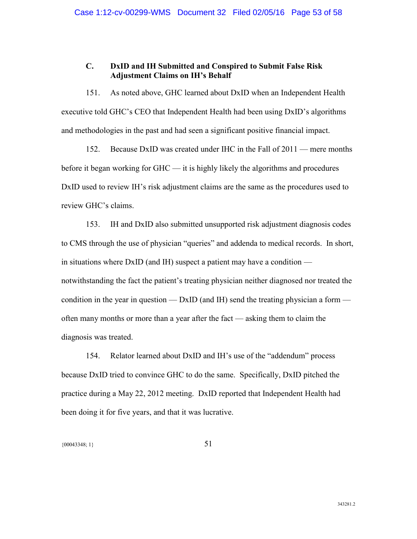### **C. DxID and IH Submitted and Conspired to Submit False Risk Adjustment Claims on IH's Behalf**

151. As noted above, GHC learned about DxID when an Independent Health executive told GHC's CEO that Independent Health had been using DxID's algorithms and methodologies in the past and had seen a significant positive financial impact.

152. Because DxID was created under IHC in the Fall of 2011 — mere months before it began working for GHC — it is highly likely the algorithms and procedures DxID used to review IH's risk adjustment claims are the same as the procedures used to review GHC's claims.

153. IH and DxID also submitted unsupported risk adjustment diagnosis codes to CMS through the use of physician "queries" and addenda to medical records. In short, in situations where DxID (and IH) suspect a patient may have a condition notwithstanding the fact the patient's treating physician neither diagnosed nor treated the condition in the year in question —  $DxID$  (and IH) send the treating physician a form often many months or more than a year after the fact — asking them to claim the diagnosis was treated.

154. Relator learned about DxID and IH's use of the "addendum" process because DxID tried to convince GHC to do the same. Specifically, DxID pitched the practice during a May 22, 2012 meeting. DxID reported that Independent Health had been doing it for five years, and that it was lucrative.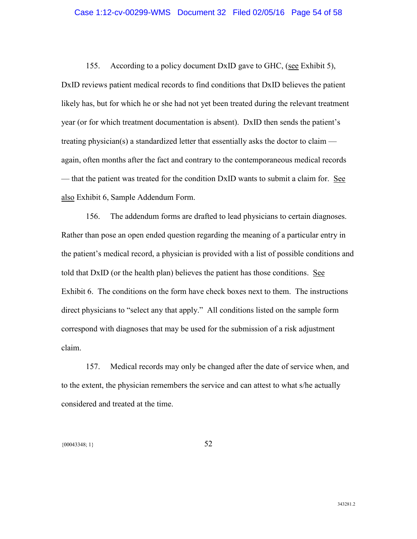155. According to a policy document DxID gave to GHC, (see Exhibit 5), DxID reviews patient medical records to find conditions that DxID believes the patient likely has, but for which he or she had not yet been treated during the relevant treatment year (or for which treatment documentation is absent). DxID then sends the patient's treating physician(s) a standardized letter that essentially asks the doctor to claim again, often months after the fact and contrary to the contemporaneous medical records — that the patient was treated for the condition DxID wants to submit a claim for. See also Exhibit 6, Sample Addendum Form.

156. The addendum forms are drafted to lead physicians to certain diagnoses. Rather than pose an open ended question regarding the meaning of a particular entry in the patient's medical record, a physician is provided with a list of possible conditions and told that DxID (or the health plan) believes the patient has those conditions. See Exhibit 6. The conditions on the form have check boxes next to them. The instructions direct physicians to "select any that apply." All conditions listed on the sample form correspond with diagnoses that may be used for the submission of a risk adjustment claim.

157. Medical records may only be changed after the date of service when, and to the extent, the physician remembers the service and can attest to what s/he actually considered and treated at the time.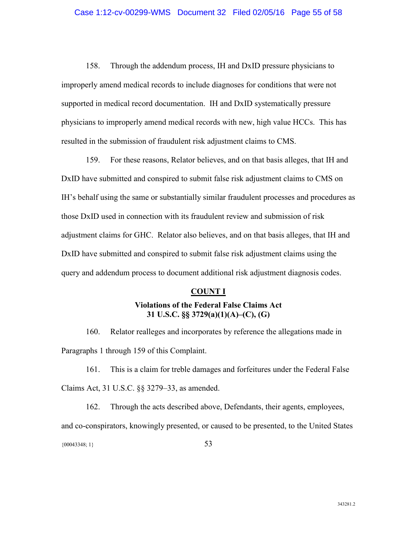158. Through the addendum process, IH and DxID pressure physicians to improperly amend medical records to include diagnoses for conditions that were not supported in medical record documentation. IH and DxID systematically pressure physicians to improperly amend medical records with new, high value HCCs. This has resulted in the submission of fraudulent risk adjustment claims to CMS.

159. For these reasons, Relator believes, and on that basis alleges, that IH and DxID have submitted and conspired to submit false risk adjustment claims to CMS on IH's behalf using the same or substantially similar fraudulent processes and procedures as those DxID used in connection with its fraudulent review and submission of risk adjustment claims for GHC. Relator also believes, and on that basis alleges, that IH and DxID have submitted and conspired to submit false risk adjustment claims using the query and addendum process to document additional risk adjustment diagnosis codes.

#### **COUNT I**

### **Violations of the Federal False Claims Act 31 U.S.C. §§ 3729(a)(1)(A)–(C), (G)**

160. Relator realleges and incorporates by reference the allegations made in Paragraphs 1 through 159 of this Complaint.

161. This is a claim for treble damages and forfeitures under the Federal False Claims Act, 31 U.S.C. §§ 3279–33, as amended.

{00043348; 1} 53 162. Through the acts described above, Defendants, their agents, employees, and co-conspirators, knowingly presented, or caused to be presented, to the United States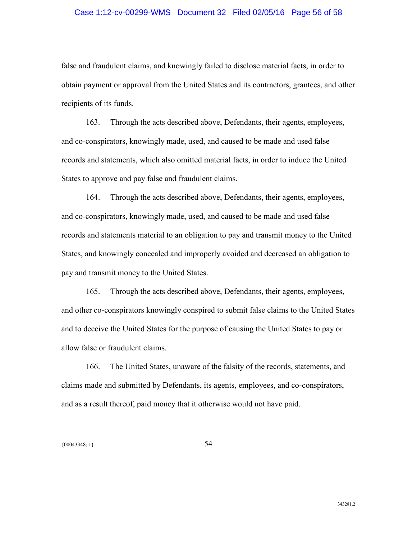### Case 1:12-cv-00299-WMS Document 32 Filed 02/05/16 Page 56 of 58

false and fraudulent claims, and knowingly failed to disclose material facts, in order to obtain payment or approval from the United States and its contractors, grantees, and other recipients of its funds.

163. Through the acts described above, Defendants, their agents, employees, and co-conspirators, knowingly made, used, and caused to be made and used false records and statements, which also omitted material facts, in order to induce the United States to approve and pay false and fraudulent claims.

164. Through the acts described above, Defendants, their agents, employees, and co-conspirators, knowingly made, used, and caused to be made and used false records and statements material to an obligation to pay and transmit money to the United States, and knowingly concealed and improperly avoided and decreased an obligation to pay and transmit money to the United States.

165. Through the acts described above, Defendants, their agents, employees, and other co-conspirators knowingly conspired to submit false claims to the United States and to deceive the United States for the purpose of causing the United States to pay or allow false or fraudulent claims.

166. The United States, unaware of the falsity of the records, statements, and claims made and submitted by Defendants, its agents, employees, and co-conspirators, and as a result thereof, paid money that it otherwise would not have paid.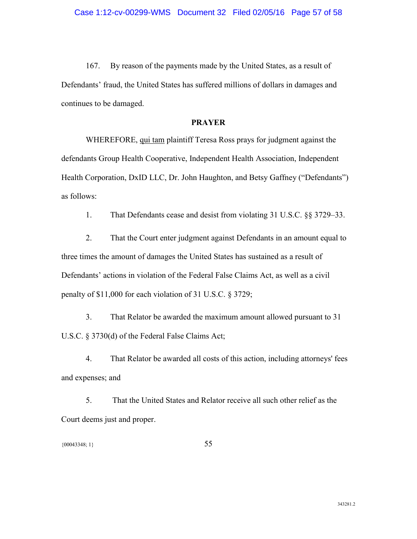167. By reason of the payments made by the United States, as a result of Defendants' fraud, the United States has suffered millions of dollars in damages and continues to be damaged.

### **PRAYER**

WHEREFORE, qui tam plaintiff Teresa Ross prays for judgment against the defendants Group Health Cooperative, Independent Health Association, Independent Health Corporation, DxID LLC, Dr. John Haughton, and Betsy Gaffney ("Defendants") as follows:

1. That Defendants cease and desist from violating 31 U.S.C. §§ 3729–33.

2. That the Court enter judgment against Defendants in an amount equal to three times the amount of damages the United States has sustained as a result of Defendants' actions in violation of the Federal False Claims Act, as well as a civil penalty of \$11,000 for each violation of 31 U.S.C. § 3729;

3. That Relator be awarded the maximum amount allowed pursuant to 31 U.S.C. § 3730(d) of the Federal False Claims Act;

4. That Relator be awarded all costs of this action, including attorneys' fees and expenses; and

5. That the United States and Relator receive all such other relief as the Court deems just and proper.